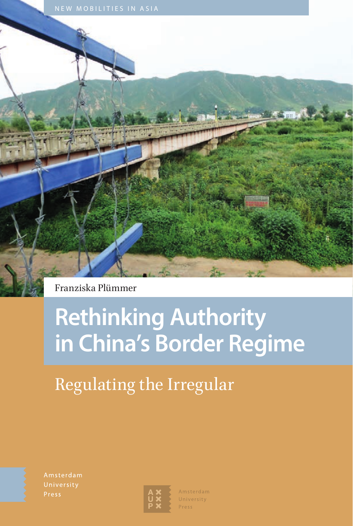

Franziska Plümmer

# **Rethinking Authority in China's Border Regime**

# Regulating the Irregular

Amsterdam



Amsterdam University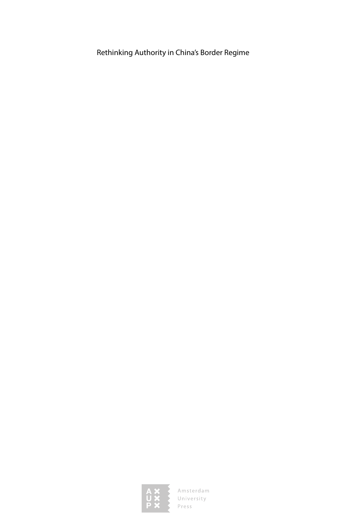Rethinking Authority in China's Border Regime

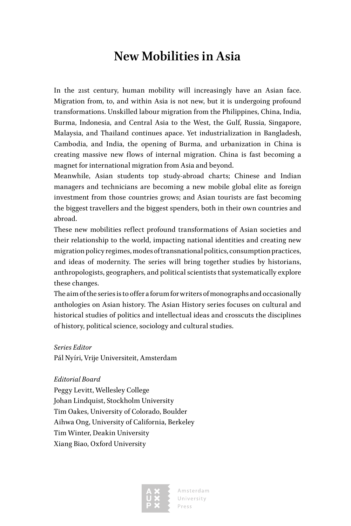### **New Mobilities in Asia**

In the 21st century, human mobility will increasingly have an Asian face. Migration from, to, and within Asia is not new, but it is undergoing profound transformations. Unskilled labour migration from the Philippines, China, India, Burma, Indonesia, and Central Asia to the West, the Gulf, Russia, Singapore, Malaysia, and Thailand continues apace. Yet industrialization in Bangladesh, Cambodia, and India, the opening of Burma, and urbanization in China is creating massive new flows of internal migration. China is fast becoming a magnet for international migration from Asia and beyond.

Meanwhile, Asian students top study-abroad charts; Chinese and Indian managers and technicians are becoming a new mobile global elite as foreign investment from those countries grows; and Asian tourists are fast becoming the biggest travellers and the biggest spenders, both in their own countries and abroad.

These new mobilities reflect profound transformations of Asian societies and their relationship to the world, impacting national identities and creating new migration policy regimes, modes of transnational politics, consumption practices, and ideas of modernity. The series will bring together studies by historians, anthropologists, geographers, and political scientists that systematically explore these changes.

The aim of the series is to offer a forum for writers of monographs and occasionally anthologies on Asian history. The Asian History series focuses on cultural and historical studies of politics and intellectual ideas and crosscuts the disciplines of history, political science, sociology and cultural studies.

#### *Series Editor*

Pál Nyíri, Vrije Universiteit, Amsterdam

#### *Editorial Board*

Peggy Levitt, Wellesley College Johan Lindquist, Stockholm University Tim Oakes, University of Colorado, Boulder Aihwa Ong, University of California, Berkeley Tim Winter, Deakin University Xiang Biao, Oxford University



Amsterdam University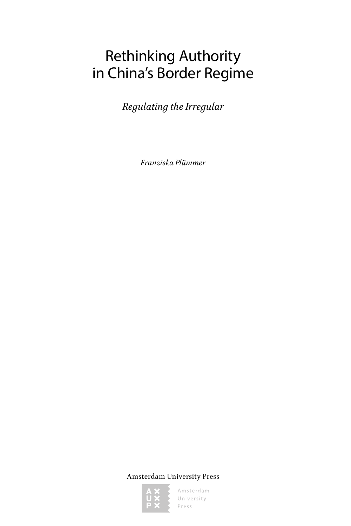## Rethinking Authority in China's Border Regime

*Regulating the Irregular*

*Franziska Plümmer*

Amsterdam University Press

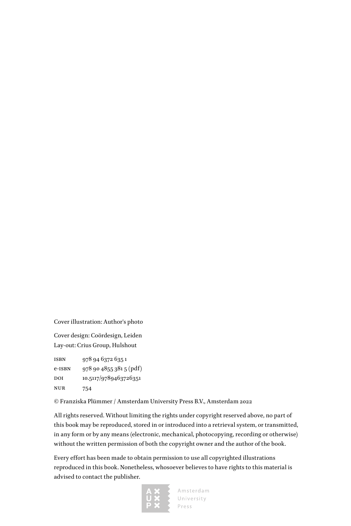Cover illustration: Author's photo

Cover design: Coördesign, Leiden Lay-out: Crius Group, Hulshout

isbn 978 94 6372 635 1 e-isbn 978 90 4855 381 5 (pdf) DOI 10.5117/9789463726351 nur 754

© Franziska Plümmer / Amsterdam University Press B.V., Amsterdam 2022

All rights reserved. Without limiting the rights under copyright reserved above, no part of this book may be reproduced, stored in or introduced into a retrieval system, or transmitted, in any form or by any means (electronic, mechanical, photocopying, recording or otherwise) without the written permission of both the copyright owner and the author of the book.

Every effort has been made to obtain permission to use all copyrighted illustrations reproduced in this book. Nonetheless, whosoever believes to have rights to this material is advised to contact the publisher.

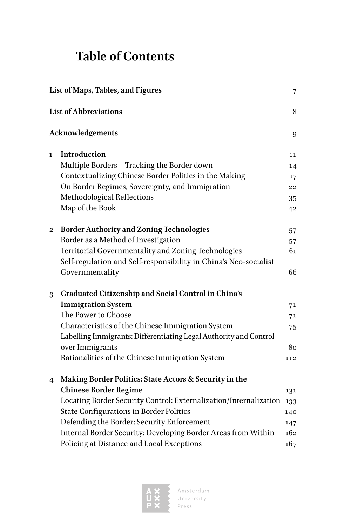### **Table of Contents**

| List of Maps, Tables, and Figures<br>$\sqrt{ }$  |                                                                   |     |   |
|--------------------------------------------------|-------------------------------------------------------------------|-----|---|
| <b>List of Abbreviations</b><br>Acknowledgements |                                                                   |     |   |
|                                                  |                                                                   |     | 1 |
|                                                  | Multiple Borders - Tracking the Border down                       | 14  |   |
|                                                  | Contextualizing Chinese Border Politics in the Making             | 17  |   |
|                                                  | On Border Regimes, Sovereignty, and Immigration                   | 22  |   |
|                                                  | Methodological Reflections                                        | 35  |   |
|                                                  | Map of the Book                                                   | 42  |   |
| 2                                                | <b>Border Authority and Zoning Technologies</b>                   | 57  |   |
|                                                  | Border as a Method of Investigation                               | 57  |   |
|                                                  | Territorial Governmentality and Zoning Technologies               | 61  |   |
|                                                  | Self-regulation and Self-responsibility in China's Neo-socialist  |     |   |
|                                                  | Governmentality                                                   | 66  |   |
| 3                                                | Graduated Citizenship and Social Control in China's               |     |   |
|                                                  | <b>Immigration System</b>                                         | 71  |   |
|                                                  | The Power to Choose                                               | 71  |   |
|                                                  | Characteristics of the Chinese Immigration System                 | 75  |   |
|                                                  | Labelling Immigrants: Differentiating Legal Authority and Control |     |   |
|                                                  | over Immigrants                                                   | 80  |   |
|                                                  | Rationalities of the Chinese Immigration System                   | 112 |   |
| 4                                                | Making Border Politics: State Actors & Security in the            |     |   |
|                                                  | <b>Chinese Border Regime</b>                                      | 131 |   |
|                                                  | Locating Border Security Control: Externalization/Internalization | 133 |   |
|                                                  | <b>State Configurations in Border Politics</b>                    | 140 |   |
|                                                  | Defending the Border: Security Enforcement                        | 147 |   |
|                                                  | Internal Border Security: Developing Border Areas from Within     | 162 |   |
|                                                  | Policing at Distance and Local Exceptions                         | 167 |   |
|                                                  |                                                                   |     |   |

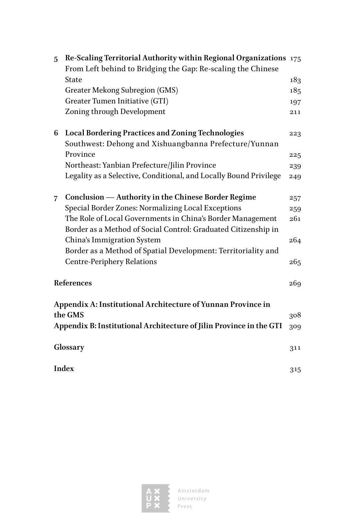| 5 | Re-Scaling Territorial Authority within Regional Organizations 175  |     |
|---|---------------------------------------------------------------------|-----|
|   | From Left behind to Bridging the Gap: Re-scaling the Chinese        |     |
|   | State                                                               | 183 |
|   | <b>Greater Mekong Subregion (GMS)</b>                               | 185 |
|   | Greater Tumen Initiative (GTI)                                      | 197 |
|   | Zoning through Development                                          | 211 |
| 6 | <b>Local Bordering Practices and Zoning Technologies</b>            | 223 |
|   | Southwest: Dehong and Xishuangbanna Prefecture/Yunnan               |     |
|   | Province                                                            | 225 |
|   | Northeast: Yanbian Prefecture/Jilin Province                        | 239 |
|   | Legality as a Selective, Conditional, and Locally Bound Privilege   | 249 |
| 7 | Conclusion — Authority in the Chinese Border Regime                 | 257 |
|   | Special Border Zones: Normalizing Local Exceptions                  | 259 |
|   | The Role of Local Governments in China's Border Management          | 261 |
|   | Border as a Method of Social Control: Graduated Citizenship in      |     |
|   | China's Immigration System                                          | 264 |
|   | Border as a Method of Spatial Development: Territoriality and       |     |
|   | <b>Centre-Periphery Relations</b>                                   | 265 |
|   | References                                                          |     |
|   | Appendix A: Institutional Architecture of Yunnan Province in        |     |
|   | the GMS                                                             | 308 |
|   | Appendix B: Institutional Architecture of Jilin Province in the GTI | 309 |
|   | Glossary                                                            | 311 |
|   | <b>Index</b>                                                        | 315 |
|   |                                                                     |     |

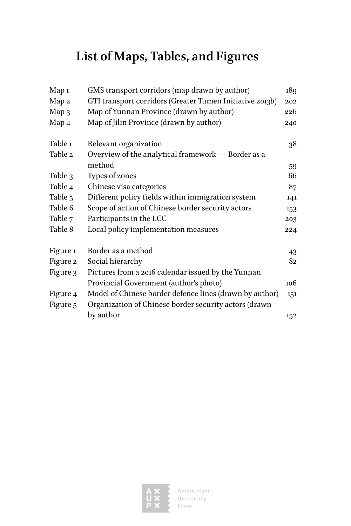# **List of Maps, Tables, and Figures**

| Map <sub>1</sub> | GMS transport corridors (map drawn by author)            | 189 |
|------------------|----------------------------------------------------------|-----|
| Map 2            | GTI transport corridors (Greater Tumen Initiative 2013b) | 202 |
| Map 3            | Map of Yunnan Province (drawn by author)                 | 226 |
| Map 4            | Map of Jilin Province (drawn by author)                  | 240 |
| Table 1          | Relevant organization                                    | 38  |
| Table 2          | Overview of the analytical framework - Border as a       |     |
|                  | method                                                   | 59  |
| Table 3          | Types of zones                                           | 66  |
| Table 4          | Chinese visa categories                                  | 87  |
| Table 5          | Different policy fields within immigration system        | 141 |
| Table 6          | Scope of action of Chinese border security actors        | 153 |
| Table 7          | Participants in the LCC                                  | 203 |
| Table 8          | Local policy implementation measures                     | 224 |
| Figure 1         | Border as a method                                       | 43  |
| Figure 2         | Social hierarchy                                         | 82  |
| Figure 3         | Pictures from a 2016 calendar issued by the Yunnan       |     |
|                  | Provincial Government (author's photo)                   | 106 |
| Figure 4         | Model of Chinese border defence lines (drawn by author)  | 151 |
| Figure 5         | Organization of Chinese border security actors (drawn    |     |
|                  | by author                                                | 152 |

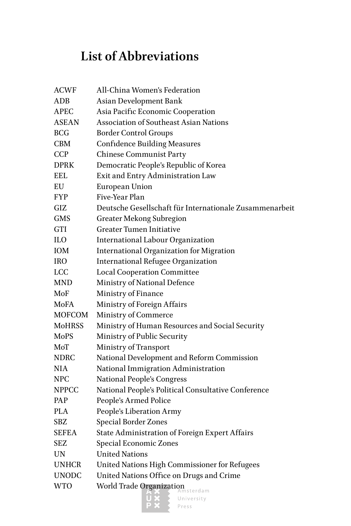### **List of Abbreviations**

| <b>ACWF</b>   | All-China Women's Federation                            |
|---------------|---------------------------------------------------------|
| ADB           | Asian Development Bank                                  |
| <b>APEC</b>   | Asia Pacific Economic Cooperation                       |
| ASEAN         | Association of Southeast Asian Nations                  |
| BCG           | <b>Border Control Groups</b>                            |
| CBM           | <b>Confidence Building Measures</b>                     |
| <b>CCP</b>    | <b>Chinese Communist Party</b>                          |
| <b>DPRK</b>   | Democratic People's Republic of Korea                   |
| EEL           | Exit and Entry Administration Law                       |
| EU            | <b>European Union</b>                                   |
| FYP           | Five-Year Plan                                          |
| GIZ           | Deutsche Gesellschaft für Internationale Zusammenarbeit |
| GMS           | <b>Greater Mekong Subregion</b>                         |
| GTI           | Greater Tumen Initiative                                |
| ILO           | <b>International Labour Organization</b>                |
| ЮM            | <b>International Organization for Migration</b>         |
| IRO           | <b>International Refugee Organization</b>               |
| LCC           | <b>Local Cooperation Committee</b>                      |
| MND           | Ministry of National Defence                            |
| MoF           | Ministry of Finance                                     |
| MoFA          | Ministry of Foreign Affairs                             |
| MOFCOM        | Ministry of Commerce                                    |
| <b>MoHRSS</b> | Ministry of Human Resources and Social Security         |
| MoPS          | Ministry of Public Security                             |
| MoT           | Ministry of Transport                                   |
| NDRC          | National Development and Reform Commission              |
| NIA           | National Immigration Administration                     |
| NPC           | <b>National People's Congress</b>                       |
| NPPCC         | National People's Political Consultative Conference     |
| PAP           | People's Armed Police                                   |
| PLA           | People's Liberation Army                                |
| SBZ           | Special Border Zones                                    |
| SEFEA         | State Administration of Foreign Expert Affairs          |
| SEZ           | Special Economic Zones                                  |
| UN            | <b>United Nations</b>                                   |
| <b>UNHCR</b>  | United Nations High Commissioner for Refugees           |
| UNODC         | United Nations Office on Drugs and Crime                |
| WTO           | <b>World Trade Organization</b><br>sterdam              |
|               |                                                         |

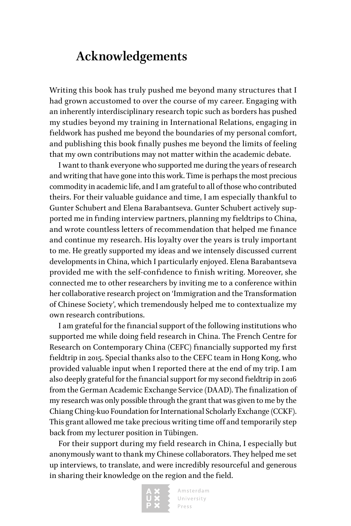### **Acknowledgements**

Writing this book has truly pushed me beyond many structures that I had grown accustomed to over the course of my career. Engaging with an inherently interdisciplinary research topic such as borders has pushed my studies beyond my training in International Relations, engaging in fieldwork has pushed me beyond the boundaries of my personal comfort, and publishing this book finally pushes me beyond the limits of feeling that my own contributions may not matter within the academic debate.

I want to thank everyone who supported me during the years of research and writing that have gone into this work. Time is perhaps the most precious commodity in academic life, and I am grateful to all of those who contributed theirs. For their valuable guidance and time, I am especially thankful to Gunter Schubert and Elena Barabantseva. Gunter Schubert actively supported me in finding interview partners, planning my fieldtrips to China, and wrote countless letters of recommendation that helped me finance and continue my research. His loyalty over the years is truly important to me. He greatly supported my ideas and we intensely discussed current developments in China, which I particularly enjoyed. Elena Barabantseva provided me with the self-confidence to finish writing. Moreover, she connected me to other researchers by inviting me to a conference within her collaborative research project on 'Immigration and the Transformation of Chinese Society', which tremendously helped me to contextualize my own research contributions.

I am grateful for the financial support of the following institutions who supported me while doing field research in China. The French Centre for Research on Contemporary China (CEFC) financially supported my first fieldtrip in 2015. Special thanks also to the CEFC team in Hong Kong, who provided valuable input when I reported there at the end of my trip. I am also deeply grateful for the financial support for my second fieldtrip in 2016 from the German Academic Exchange Service (DAAD). The finalization of my research was only possible through the grant that was given to me by the Chiang Ching-kuo Foundation for International Scholarly Exchange (CCKF). This grant allowed me take precious writing time off and temporarily step back from my lecturer position in Tübingen.

For their support during my field research in China, I especially but anonymously want to thank my Chinese collaborators. They helped me set up interviews, to translate, and were incredibly resourceful and generous in sharing their knowledge on the region and the field.

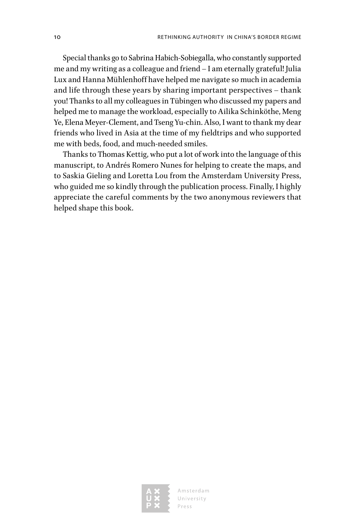Special thanks go to Sabrina Habich-Sobiegalla, who constantly supported me and my writing as a colleague and friend – I am eternally grateful! Julia Lux and Hanna Mühlenhoff have helped me navigate so much in academia and life through these years by sharing important perspectives – thank you! Thanks to all my colleagues in Tübingen who discussed my papers and helped me to manage the workload, especially to Ailika Schinköthe, Meng Ye, Elena Meyer-Clement, and Tseng Yu-chin. Also, I want to thank my dear friends who lived in Asia at the time of my fieldtrips and who supported me with beds, food, and much-needed smiles.

Thanks to Thomas Kettig, who put a lot of work into the language of this manuscript, to Andrés Romero Nunes for helping to create the maps, and to Saskia Gieling and Loretta Lou from the Amsterdam University Press, who guided me so kindly through the publication process. Finally, I highly appreciate the careful comments by the two anonymous reviewers that helped shape this book.

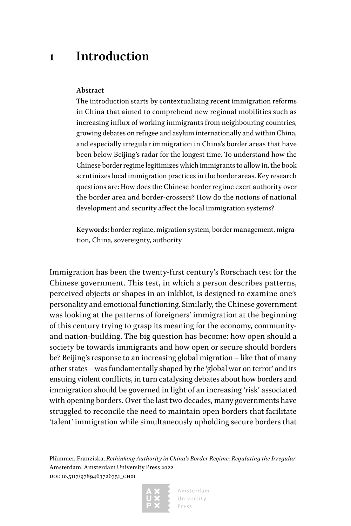### **1 Introduction**

#### **Abstract**

The introduction starts by contextualizing recent immigration reforms in China that aimed to comprehend new regional mobilities such as increasing influx of working immigrants from neighbouring countries, growing debates on refugee and asylum internationally and within China, and especially irregular immigration in China's border areas that have been below Beijing's radar for the longest time. To understand how the Chinese border regime legitimizes which immigrants to allow in, the book scrutinizes local immigration practices in the border areas. Key research questions are: How does the Chinese border regime exert authority over the border area and border-crossers? How do the notions of national development and security affect the local immigration systems?

**Keywords:** border regime, migration system, border management, migration, China, sovereignty, authority

Immigration has been the twenty-first century's Rorschach test for the Chinese government. This test, in which a person describes patterns, perceived objects or shapes in an inkblot, is designed to examine one's personality and emotional functioning. Similarly, the Chinese government was looking at the patterns of foreigners' immigration at the beginning of this century trying to grasp its meaning for the economy, communityand nation-building. The big question has become: how open should a society be towards immigrants and how open or secure should borders be? Beijing's response to an increasing global migration – like that of many other states – was fundamentally shaped by the 'global war on terror' and its ensuing violent conflicts, in turn catalysing debates about how borders and immigration should be governed in light of an increasing 'risk' associated with opening borders. Over the last two decades, many governments have struggled to reconcile the need to maintain open borders that facilitate 'talent' immigration while simultaneously upholding secure borders that

Plümmer, Franziska, *Rethinking Authority in China's Border Regime: Regulating the Irregular*. Amsterdam: Amsterdam University Press 2022 DOI: 10.5117/9789463726351\_CH01

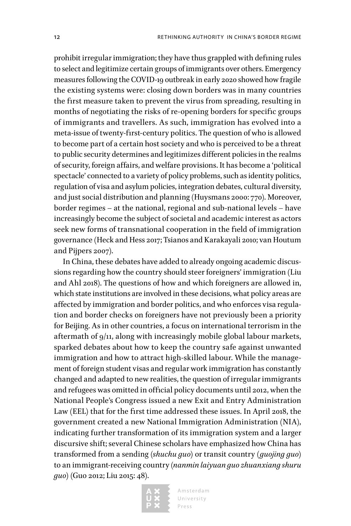prohibit irregular immigration; they have thus grappled with defining rules to select and legitimize certain groups of immigrants over others. Emergency measures following the COVID-19 outbreak in early 2020 showed how fragile the existing systems were: closing down borders was in many countries the first measure taken to prevent the virus from spreading, resulting in months of negotiating the risks of re-opening borders for specific groups of immigrants and travellers. As such, immigration has evolved into a meta-issue of twenty-first-century politics. The question of who is allowed to become part of a certain host society and who is perceived to be a threat to public security determines and legitimizes different policies in the realms of security, foreign affairs, and welfare provisions. It has become a 'political spectacle' connected to a variety of policy problems, such as identity politics, regulation of visa and asylum policies, integration debates, cultural diversity, and just social distribution and planning (Huysmans 2000: 770). Moreover, border regimes – at the national, regional and sub-national levels – have increasingly become the subject of societal and academic interest as actors seek new forms of transnational cooperation in the field of immigration governance (Heck and Hess 2017; Tsianos and Karakayali 2010; van Houtum and Pijpers 2007).

In China, these debates have added to already ongoing academic discussions regarding how the country should steer foreigners' immigration (Liu and Ahl 2018). The questions of how and which foreigners are allowed in, which state institutions are involved in these decisions, what policy areas are affected by immigration and border politics, and who enforces visa regulation and border checks on foreigners have not previously been a priority for Beijing. As in other countries, a focus on international terrorism in the aftermath of 9/11, along with increasingly mobile global labour markets, sparked debates about how to keep the country safe against unwanted immigration and how to attract high-skilled labour. While the management of foreign student visas and regular work immigration has constantly changed and adapted to new realities, the question of irregular immigrants and refugees was omitted in official policy documents until 2012, when the National People's Congress issued a new Exit and Entry Administration Law (EEL) that for the first time addressed these issues. In April 2018, the government created a new National Immigration Administration (NIA), indicating further transformation of its immigration system and a larger discursive shift; several Chinese scholars have emphasized how China has transformed from a sending (*shuchu guo*) or transit country (*guojing guo*) to an immigrant-receiving country (*nanmin laiyuan guo zhuanxiang shuru guo*) (Guo 2012; Liu 2015: 48).

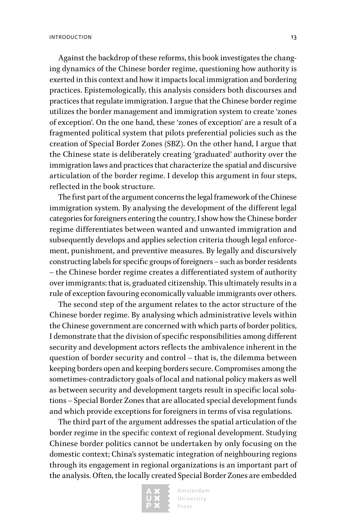Against the backdrop of these reforms, this book investigates the changing dynamics of the Chinese border regime, questioning how authority is exerted in this context and how it impacts local immigration and bordering practices. Epistemologically, this analysis considers both discourses and practices that regulate immigration. I argue that the Chinese border regime utilizes the border management and immigration system to create 'zones of exception'. On the one hand, these 'zones of exception' are a result of a fragmented political system that pilots preferential policies such as the creation of Special Border Zones (SBZ). On the other hand, I argue that the Chinese state is deliberately creating 'graduated' authority over the immigration laws and practices that characterize the spatial and discursive articulation of the border regime. I develop this argument in four steps, reflected in the book structure.

The first part of the argument concerns the legal framework of the Chinese immigration system. By analysing the development of the different legal categories for foreigners entering the country, I show how the Chinese border regime differentiates between wanted and unwanted immigration and subsequently develops and applies selection criteria though legal enforcement, punishment, and preventive measures. By legally and discursively constructing labels for specific groups of foreigners – such as border residents – the Chinese border regime creates a differentiated system of authority over immigrants: that is, graduated citizenship. This ultimately results in a rule of exception favouring economically valuable immigrants over others.

The second step of the argument relates to the actor structure of the Chinese border regime. By analysing which administrative levels within the Chinese government are concerned with which parts of border politics, I demonstrate that the division of specific responsibilities among different security and development actors reflects the ambivalence inherent in the question of border security and control – that is, the dilemma between keeping borders open and keeping borders secure. Compromises among the sometimes-contradictory goals of local and national policy makers as well as between security and development targets result in specific local solutions – Special Border Zones that are allocated special development funds and which provide exceptions for foreigners in terms of visa regulations.

The third part of the argument addresses the spatial articulation of the border regime in the specific context of regional development. Studying Chinese border politics cannot be undertaken by only focusing on the domestic context; China's systematic integration of neighbouring regions through its engagement in regional organizations is an important part of the analysis. Often, the locally created Special Border Zones are embedded

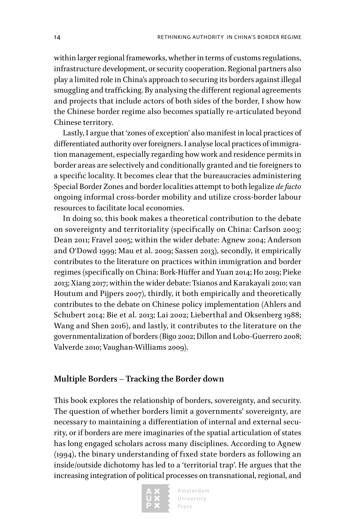within larger regional frameworks, whether in terms of customs regulations, infrastructure development, or security cooperation. Regional partners also play a limited role in China's approach to securing its borders against illegal smuggling and trafficking. By analysing the different regional agreements and projects that include actors of both sides of the border, I show how the Chinese border regime also becomes spatially re-articulated beyond Chinese territory.

Lastly, I argue that 'zones of exception' also manifest in local practices of differentiated authority over foreigners. I analyse local practices of immigration management, especially regarding how work and residence permits in border areas are selectively and conditionally granted and tie foreigners to a specific locality. It becomes clear that the bureaucracies administering Special Border Zones and border localities attempt to both legalize *de facto* ongoing informal cross-border mobility and utilize cross-border labour resources to facilitate local economies.

In doing so, this book makes a theoretical contribution to the debate on sovereignty and territoriality (specifically on China: Carlson 2003; Dean 2011; Fravel 2005; within the wider debate: Agnew 2004; Anderson and O'Dowd 1999; Mau et al. 2009; Sassen 2013), secondly, it empirically contributes to the literature on practices within immigration and border regimes (specifically on China: Bork-Hüffer and Yuan 2014; Ho 2019; Pieke 2013; Xiang 2017; within the wider debate: Tsianos and Karakayali 2010; van Houtum and Pijpers 2007), thirdly, it both empirically and theoretically contributes to the debate on Chinese policy implementation (Ahlers and Schubert 2014; Bie et al. 2013; Lai 2002; Lieberthal and Oksenberg 1988; Wang and Shen 2016), and lastly, it contributes to the literature on the governmentalization of borders (Bigo 2002; Dillon and Lobo-Guerrero 2008; Valverde 2010; Vaughan-Williams 2009).

#### **Multiple Borders – Tracking the Border down**

This book explores the relationship of borders, sovereignty, and security. The question of whether borders limit a governments' sovereignty, are necessary to maintaining a differentiation of internal and external security, or if borders are mere imaginaries of the spatial articulation of states has long engaged scholars across many disciplines. According to Agnew (1994), the binary understanding of fixed state borders as following an inside/outside dichotomy has led to a 'territorial trap'. He argues that the increasing integration of political processes on transnational, regional, and

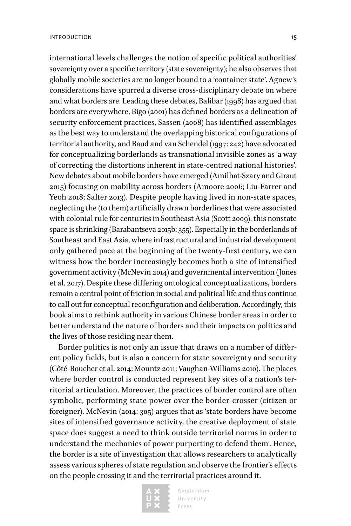international levels challenges the notion of specific political authorities'

sovereignty over a specific territory (state sovereignty); he also observes that globally mobile societies are no longer bound to a 'container state'. Agnew's considerations have spurred a diverse cross-disciplinary debate on where and what borders are. Leading these debates, Balibar (1998) has argued that borders are everywhere, Bigo (2001) has defined borders as a delineation of security enforcement practices, Sassen (2008) has identified assemblages as the best way to understand the overlapping historical configurations of territorial authority, and Baud and van Schendel (1997: 242) have advocated for conceptualizing borderlands as transnational invisible zones as 'a way of correcting the distortions inherent in state-centred national histories'. New debates about mobile borders have emerged (Amilhat-Szary and Giraut 2015) focusing on mobility across borders (Amoore 2006; Liu-Farrer and Yeoh 2018; Salter 2013). Despite people having lived in non-state spaces, neglecting the (to them) artificially drawn borderlines that were associated with colonial rule for centuries in Southeast Asia (Scott 2009), this nonstate space is shrinking (Barabantseva 2015b: 355). Especially in the borderlands of Southeast and East Asia, where infrastructural and industrial development only gathered pace at the beginning of the twenty-first century, we can witness how the border increasingly becomes both a site of intensified government activity (McNevin 2014) and governmental intervention (Jones et al. 2017). Despite these differing ontological conceptualizations, borders remain a central point of friction in social and political life and thus continue to call out for conceptual reconfiguration and deliberation. Accordingly, this book aims to rethink authority in various Chinese border areas in order to better understand the nature of borders and their impacts on politics and the lives of those residing near them.

Border politics is not only an issue that draws on a number of different policy fields, but is also a concern for state sovereignty and security (Côté-Boucher et al. 2014; Mountz 2011; Vaughan-Williams 2010). The places where border control is conducted represent key sites of a nation's territorial articulation. Moreover, the practices of border control are often symbolic, performing state power over the border-crosser (citizen or foreigner). McNevin (2014: 305) argues that as 'state borders have become sites of intensified governance activity, the creative deployment of state space does suggest a need to think outside territorial norms in order to understand the mechanics of power purporting to defend them'. Hence, the border is a site of investigation that allows researchers to analytically assess various spheres of state regulation and observe the frontier's effects on the people crossing it and the territorial practices around it.

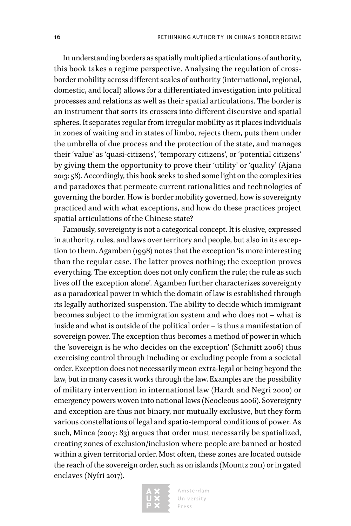In understanding borders as spatially multiplied articulations of authority, this book takes a regime perspective. Analysing the regulation of crossborder mobility across different scales of authority (international, regional, domestic, and local) allows for a differentiated investigation into political processes and relations as well as their spatial articulations. The border is an instrument that sorts its crossers into different discursive and spatial spheres. It separates regular from irregular mobility as it places individuals in zones of waiting and in states of limbo, rejects them, puts them under the umbrella of due process and the protection of the state, and manages their 'value' as 'quasi-citizens', 'temporary citizens', or 'potential citizens' by giving them the opportunity to prove their 'utility' or 'quality' (Ajana 2013: 58). Accordingly, this book seeks to shed some light on the complexities and paradoxes that permeate current rationalities and technologies of governing the border. How is border mobility governed, how is sovereignty practiced and with what exceptions, and how do these practices project spatial articulations of the Chinese state?

Famously, sovereignty is not a categorical concept. It is elusive, expressed in authority, rules, and laws over territory and people, but also in its exception to them. Agamben (1998) notes that the exception 'is more interesting than the regular case. The latter proves nothing; the exception proves everything. The exception does not only confirm the rule; the rule as such lives off the exception alone'. Agamben further characterizes sovereignty as a paradoxical power in which the domain of law is established through its legally authorized suspension. The ability to decide which immigrant becomes subject to the immigration system and who does not – what is inside and what is outside of the political order – is thus a manifestation of sovereign power. The exception thus becomes a method of power in which the 'sovereign is he who decides on the exception' (Schmitt 2006) thus exercising control through including or excluding people from a societal order. Exception does not necessarily mean extra-legal or being beyond the law, but in many cases it works through the law. Examples are the possibility of military intervention in international law (Hardt and Negri 2000) or emergency powers woven into national laws (Neocleous 2006). Sovereignty and exception are thus not binary, nor mutually exclusive, but they form various constellations of legal and spatio-temporal conditions of power. As such, Minca (2007: 83) argues that order must necessarily be spatialized, creating zones of exclusion/inclusion where people are banned or hosted within a given territorial order. Most often, these zones are located outside the reach of the sovereign order, such as on islands (Mountz 2011) or in gated enclaves (Nyíri 2017).

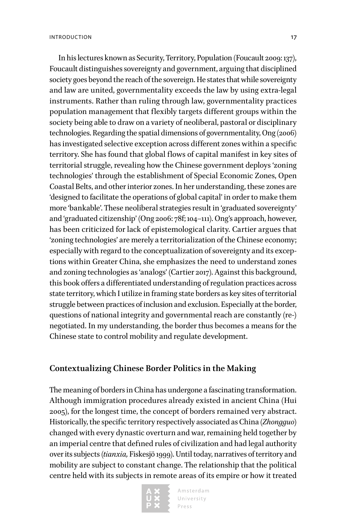In his lectures known as Security, Territory, Population (Foucault 2009: 137), Foucault distinguishes sovereignty and government, arguing that disciplined society goes beyond the reach of the sovereign. He states that while sovereignty and law are united, governmentality exceeds the law by using extra-legal instruments. Rather than ruling through law, governmentality practices population management that flexibly targets different groups within the society being able to draw on a variety of neoliberal, pastoral or disciplinary technologies. Regarding the spatial dimensions of governmentality, Ong (2006) has investigated selective exception across different zones within a specific territory. She has found that global flows of capital manifest in key sites of territorial struggle, revealing how the Chinese government deploys 'zoning technologies' through the establishment of Special Economic Zones, Open Coastal Belts, and other interior zones. In her understanding, these zones are 'designed to facilitate the operations of global capital' in order to make them more 'bankable'. These neoliberal strategies result in 'graduated sovereignty' and 'graduated citizenship' (Ong 2006: 78f; 104–111). Ong's approach, however, has been criticized for lack of epistemological clarity. Cartier argues that 'zoning technologies' are merely a territorialization of the Chinese economy; especially with regard to the conceptualization of sovereignty and its exceptions within Greater China, she emphasizes the need to understand zones and zoning technologies as 'analogs' (Cartier 2017). Against this background, this book offers a differentiated understanding of regulation practices across state territory, which I utilize in framing state borders as key sites of territorial struggle between practices of inclusion and exclusion. Especially at the border, questions of national integrity and governmental reach are constantly (re-) negotiated. In my understanding, the border thus becomes a means for the Chinese state to control mobility and regulate development.

#### **Contextualizing Chinese Border Politics in the Making**

The meaning of borders in China has undergone a fascinating transformation. Although immigration procedures already existed in ancient China (Hui 2005), for the longest time, the concept of borders remained very abstract. Historically, the specific territory respectively associated as China (*Zhongguo*) changed with every dynastic overturn and war, remaining held together by an imperial centre that defined rules of civilization and had legal authority over its subjects (*tianxia,* Fiskesjö 1999). Until today, narratives of territory and mobility are subject to constant change. The relationship that the political centre held with its subjects in remote areas of its empire or how it treated

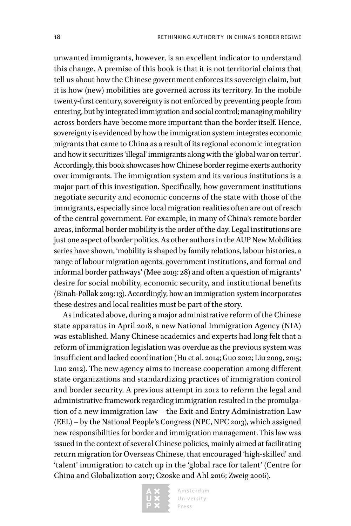unwanted immigrants, however, is an excellent indicator to understand this change. A premise of this book is that it is not territorial claims that tell us about how the Chinese government enforces its sovereign claim, but it is how (new) mobilities are governed across its territory. In the mobile twenty-first century, sovereignty is not enforced by preventing people from entering, but by integrated immigration and social control; managing mobility across borders have become more important than the border itself. Hence, sovereignty is evidenced by how the immigration system integrates economic migrants that came to China as a result of its regional economic integration and how it securitizes 'illegal' immigrants along with the 'global war on terror'. Accordingly, this book showcases how Chinese border regime exerts authority over immigrants. The immigration system and its various institutions is a major part of this investigation. Specifically, how government institutions negotiate security and economic concerns of the state with those of the immigrants, especially since local migration realities often are out of reach of the central government. For example, in many of China's remote border areas, informal border mobility is the order of the day. Legal institutions are just one aspect of border politics. As other authors in the AUP New Mobilities series have shown, 'mobility is shaped by family relations, labour histories, a range of labour migration agents, government institutions, and formal and informal border pathways' (Mee 2019: 28) and often a question of migrants' desire for social mobility, economic security, and institutional benefits (Binah-Pollak 2019: 13). Accordingly, how an immigration system incorporates these desires and local realities must be part of the story.

As indicated above, during a major administrative reform of the Chinese state apparatus in April 2018, a new National Immigration Agency (NIA) was established. Many Chinese academics and experts had long felt that a reform of immigration legislation was overdue as the previous system was insufficient and lacked coordination (Hu et al. 2014; Guo 2012; Liu 2009, 2015; Luo 2012). The new agency aims to increase cooperation among different state organizations and standardizing practices of immigration control and border security. A previous attempt in 2012 to reform the legal and administrative framework regarding immigration resulted in the promulgation of a new immigration law – the Exit and Entry Administration Law (EEL) – by the National People's Congress (NPC, NPC 2013), which assigned new responsibilities for border and immigration management. This law was issued in the context of several Chinese policies, mainly aimed at facilitating return migration for Overseas Chinese, that encouraged 'high-skilled' and 'talent' immigration to catch up in the 'global race for talent' (Centre for China and Globalization 2017; Czoske and Ahl 2016; Zweig 2006).

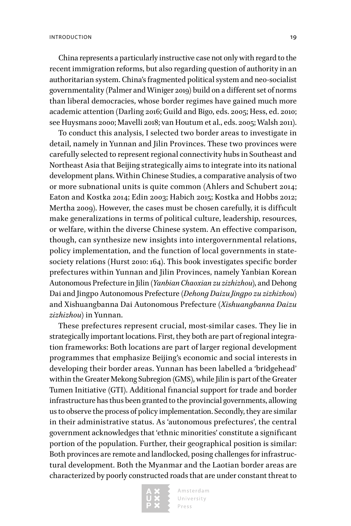China represents a particularly instructive case not only with regard to the recent immigration reforms, but also regarding question of authority in an authoritarian system. China's fragmented political system and neo-socialist governmentality (Palmer and Winiger 2019) build on a different set of norms than liberal democracies, whose border regimes have gained much more academic attention (Darling 2016; Guild and Bigo, eds. 2005; Hess, ed. 2010; see Huysmans 2000; Mavelli 2018; van Houtum et al., eds. 2005; Walsh 2011).

To conduct this analysis, I selected two border areas to investigate in detail, namely in Yunnan and Jilin Provinces. These two provinces were carefully selected to represent regional connectivity hubs in Southeast and Northeast Asia that Beijing strategically aims to integrate into its national development plans. Within Chinese Studies, a comparative analysis of two or more subnational units is quite common (Ahlers and Schubert 2014; Eaton and Kostka 2014; Edin 2003; Habich 2015; Kostka and Hobbs 2012; Mertha 2009). However, the cases must be chosen carefully, it is difficult make generalizations in terms of political culture, leadership, resources, or welfare, within the diverse Chinese system. An effective comparison, though, can synthesize new insights into intergovernmental relations, policy implementation, and the function of local governments in statesociety relations (Hurst 2010: 164). This book investigates specific border prefectures within Yunnan and Jilin Provinces, namely Yanbian Korean Autonomous Prefecture in Jilin (*Yanbian Chaoxian zu zizhizhou*), and Dehong Dai and Jingpo Autonomous Prefecture (*Dehong Daizu Jingpo zu zizhizhou*) and Xishuangbanna Dai Autonomous Prefecture (*Xishuangbanna Daizu zizhizhou*) in Yunnan.

These prefectures represent crucial, most-similar cases. They lie in strategically important locations. First, they both are part of regional integration frameworks: Both locations are part of larger regional development programmes that emphasize Beijing's economic and social interests in developing their border areas. Yunnan has been labelled a 'bridgehead' within the Greater Mekong Subregion (GMS), while Jilin is part of the Greater Tumen Initiative (GTI). Additional financial support for trade and border infrastructure has thus been granted to the provincial governments, allowing us to observe the process of policy implementation. Secondly, they are similar in their administrative status. As 'autonomous prefectures', the central government acknowledges that 'ethnic minorities' constitute a significant portion of the population. Further, their geographical position is similar: Both provinces are remote and landlocked, posing challenges for infrastructural development. Both the Myanmar and the Laotian border areas are characterized by poorly constructed roads that are under constant threat to

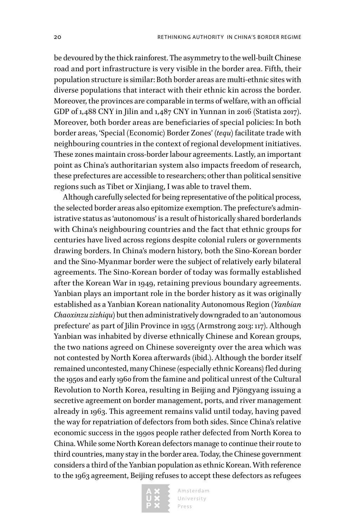be devoured by the thick rainforest. The asymmetry to the well-built Chinese road and port infrastructure is very visible in the border area. Fifth, their population structure is similar: Both border areas are multi-ethnic sites with diverse populations that interact with their ethnic kin across the border. Moreover, the provinces are comparable in terms of welfare, with an official GDP of 1,488 CNY in Jilin and 1,487 CNY in Yunnan in 2016 (Statista 2017). Moreover, both border areas are beneficiaries of special policies: In both border areas, 'Special (Economic) Border Zones' (*tequ*) facilitate trade with neighbouring countries in the context of regional development initiatives. These zones maintain cross-border labour agreements. Lastly, an important point as China's authoritarian system also impacts freedom of research, these prefectures are accessible to researchers; other than political sensitive regions such as Tibet or Xinjiang, I was able to travel them.

Although carefully selected for being representative of the political process, the selected border areas also epitomize exemption. The prefecture's administrative status as 'autonomous' is a result of historically shared borderlands with China's neighbouring countries and the fact that ethnic groups for centuries have lived across regions despite colonial rulers or governments drawing borders. In China's modern history, both the Sino-Korean border and the Sino-Myanmar border were the subject of relatively early bilateral agreements. The Sino-Korean border of today was formally established after the Korean War in 1949, retaining previous boundary agreements. Yanbian plays an important role in the border history as it was originally established as a Yanbian Korean nationality Autonomous Region (*Yanbian Chaoxinzu zizhiqu*) but then administratively downgraded to an 'autonomous prefecture' as part of Jilin Province in 1955 (Armstrong 2013: 117). Although Yanbian was inhabited by diverse ethnically Chinese and Korean groups, the two nations agreed on Chinese sovereignty over the area which was not contested by North Korea afterwards (ibid.). Although the border itself remained uncontested, many Chinese (especially ethnic Koreans) fled during the 1950s and early 1960 from the famine and political unrest of the Cultural Revolution to North Korea, resulting in Beijing and Pjöngyang issuing a secretive agreement on border management, ports, and river management already in 1963. This agreement remains valid until today, having paved the way for repatriation of defectors from both sides. Since China's relative economic success in the 1990s people rather defected from North Korea to China. While some North Korean defectors manage to continue their route to third countries, many stay in the border area. Today, the Chinese government considers a third of the Yanbian population as ethnic Korean. With reference to the 1963 agreement, Beijing refuses to accept these defectors as refugees

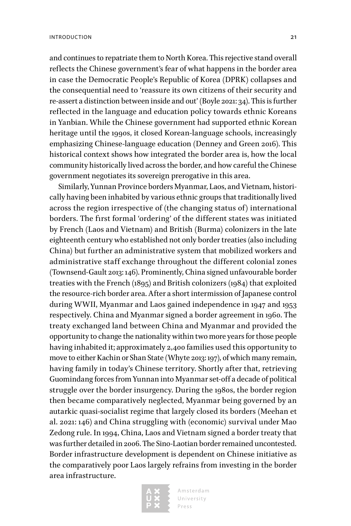and continues to repatriate them to North Korea. This rejective stand overall reflects the Chinese government's fear of what happens in the border area in case the Democratic People's Republic of Korea (DPRK) collapses and the consequential need to 'reassure its own citizens of their security and re-assert a distinction between inside and out' (Boyle 2021: 34). This is further reflected in the language and education policy towards ethnic Koreans in Yanbian. While the Chinese government had supported ethnic Korean heritage until the 1990s, it closed Korean-language schools, increasingly emphasizing Chinese-language education (Denney and Green 2016). This historical context shows how integrated the border area is, how the local community historically lived across the border, and how careful the Chinese government negotiates its sovereign prerogative in this area.

Similarly, Yunnan Province borders Myanmar, Laos, and Vietnam, historically having been inhabited by various ethnic groups that traditionally lived across the region irrespective of (the changing status of) international borders. The first formal 'ordering' of the different states was initiated by French (Laos and Vietnam) and British (Burma) colonizers in the late eighteenth century who established not only border treaties (also including China) but further an administrative system that mobilized workers and administrative staff exchange throughout the different colonial zones (Townsend-Gault 2013: 146). Prominently, China signed unfavourable border treaties with the French (1895) and British colonizers (1984) that exploited the resource-rich border area. After a short intermission of Japanese control during WWII, Myanmar and Laos gained independence in 1947 and 1953 respectively. China and Myanmar signed a border agreement in 1960. The treaty exchanged land between China and Myanmar and provided the opportunity to change the nationality within two more years for those people having inhabited it; approximately 2,400 families used this opportunity to move to either Kachin or Shan State (Whyte 2013: 197), of which many remain, having family in today's Chinese territory. Shortly after that, retrieving Guomindang forces from Yunnan into Myanmar set-off a decade of political struggle over the border insurgency. During the 1980s, the border region then became comparatively neglected, Myanmar being governed by an autarkic quasi-socialist regime that largely closed its borders (Meehan et al. 2021: 146) and China struggling with (economic) survival under Mao Zedong rule. In 1994, China, Laos and Vietnam signed a border treaty that was further detailed in 2006. The Sino-Laotian border remained uncontested. Border infrastructure development is dependent on Chinese initiative as the comparatively poor Laos largely refrains from investing in the border area infrastructure.

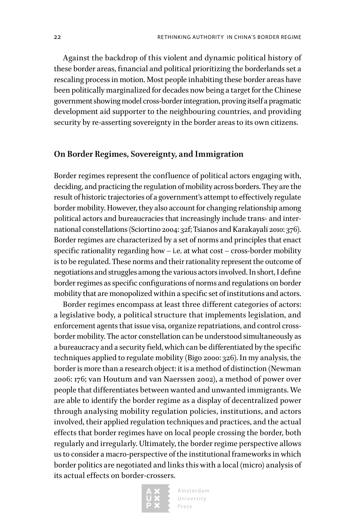Against the backdrop of this violent and dynamic political history of these border areas, financial and political prioritizing the borderlands set a rescaling process in motion. Most people inhabiting these border areas have been politically marginalized for decades now being a target for the Chinese government showing model cross-border integration, proving itself a pragmatic development aid supporter to the neighbouring countries, and providing security by re-asserting sovereignty in the border areas to its own citizens.

#### **On Border Regimes, Sovereignty, and Immigration**

Border regimes represent the confluence of political actors engaging with, deciding, and practicing the regulation of mobility across borders. They are the result of historic trajectories of a government's attempt to effectively regulate border mobility. However, they also account for changing relationship among political actors and bureaucracies that increasingly include trans- and international constellations (Sciortino 2004: 32f; Tsianos and Karakayali 2010: 376). Border regimes are characterized by a set of norms and principles that enact specific rationality regarding how – i.e. at what cost – cross-border mobility is to be regulated. These norms and their rationality represent the outcome of negotiations and struggles among the various actors involved. In short, I define border regimes as specific configurations of norms and regulations on border mobility that are monopolized within a specific set of institutions and actors.

Border regimes encompass at least three different categories of actors: a legislative body, a political structure that implements legislation, and enforcement agents that issue visa, organize repatriations, and control crossborder mobility. The actor constellation can be understood simultaneously as a bureaucracy and a security field, which can be differentiated by the specific techniques applied to regulate mobility (Bigo 2000: 326). In my analysis, the border is more than a research object: it is a method of distinction (Newman 2006: 176; van Houtum and van Naerssen 2002), a method of power over people that differentiates between wanted and unwanted immigrants. We are able to identify the border regime as a display of decentralized power through analysing mobility regulation policies, institutions, and actors involved, their applied regulation techniques and practices, and the actual effects that border regimes have on local people crossing the border, both regularly and irregularly. Ultimately, the border regime perspective allows us to consider a macro-perspective of the institutional frameworks in which border politics are negotiated and links this with a local (micro) analysis of its actual effects on border-crossers.

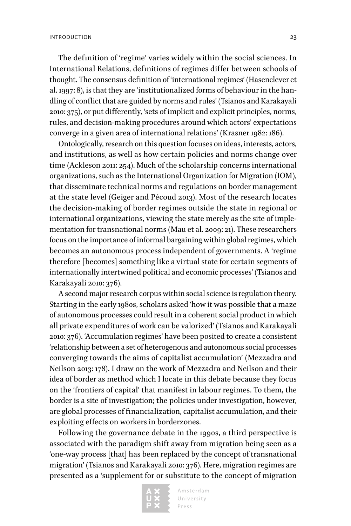The definition of 'regime' varies widely within the social sciences. In International Relations, definitions of regimes differ between schools of thought. The consensus definition of 'international regimes' (Hasenclever et al. 1997: 8), is that they are 'institutionalized forms of behaviour in the handling of conflict that are guided by norms and rules' (Tsianos and Karakayali 2010: 375), or put differently, 'sets of implicit and explicit principles, norms, rules, and decision-making procedures around which actors' expectations converge in a given area of international relations' (Krasner 1982: 186).

Ontologically, research on this question focuses on ideas, interests, actors, and institutions, as well as how certain policies and norms change over time (Ackleson 2011: 254). Much of the scholarship concerns international organizations, such as the International Organization for Migration (IOM), that disseminate technical norms and regulations on border management at the state level (Geiger and Pécoud 2013). Most of the research locates the decision-making of border regimes outside the state in regional or international organizations, viewing the state merely as the site of implementation for transnational norms (Mau et al. 2009: 21). These researchers focus on the importance of informal bargaining within global regimes, which becomes an autonomous process independent of governments. A 'regime therefore [becomes] something like a virtual state for certain segments of internationally intertwined political and economic processes' (Tsianos and Karakayali 2010: 376).

A second major research corpus within social science is regulation theory. Starting in the early 1980s, scholars asked 'how it was possible that a maze of autonomous processes could result in a coherent social product in which all private expenditures of work can be valorized' (Tsianos and Karakayali 2010: 376). 'Accumulation regimes' have been posited to create a consistent 'relationship between a set of heterogenous and autonomous social processes converging towards the aims of capitalist accumulation' (Mezzadra and Neilson 2013: 178). I draw on the work of Mezzadra and Neilson and their idea of border as method which I locate in this debate because they focus on the 'frontiers of capital' that manifest in labour regimes. To them, the border is a site of investigation; the policies under investigation, however, are global processes of financialization, capitalist accumulation, and their exploiting effects on workers in borderzones.

Following the governance debate in the 1990s, a third perspective is associated with the paradigm shift away from migration being seen as a 'one-way process [that] has been replaced by the concept of transnational migration' (Tsianos and Karakayali 2010: 376). Here, migration regimes are presented as a 'supplement for or substitute to the concept of migration

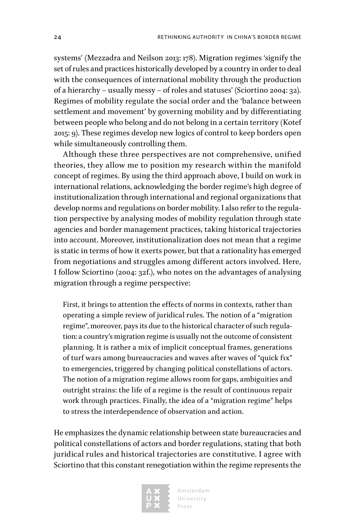systems' (Mezzadra and Neilson 2013: 178). Migration regimes 'signify the set of rules and practices historically developed by a country in order to deal with the consequences of international mobility through the production of a hierarchy – usually messy – of roles and statuses' (Sciortino 2004: 32). Regimes of mobility regulate the social order and the 'balance between settlement and movement' by governing mobility and by differentiating between people who belong and do not belong in a certain territory (Kotef 2015: 9). These regimes develop new logics of control to keep borders open while simultaneously controlling them.

Although these three perspectives are not comprehensive, unified theories, they allow me to position my research within the manifold concept of regimes. By using the third approach above, I build on work in international relations, acknowledging the border regime's high degree of institutionalization through international and regional organizations that develop norms and regulations on border mobility. I also refer to the regulation perspective by analysing modes of mobility regulation through state agencies and border management practices, taking historical trajectories into account. Moreover, institutionalization does not mean that a regime is static in terms of how it exerts power, but that a rationality has emerged from negotiations and struggles among different actors involved. Here, I follow Sciortino (2004: 32f.), who notes on the advantages of analysing migration through a regime perspective:

First, it brings to attention the effects of norms in contexts, rather than operating a simple review of juridical rules. The notion of a "migration regime", moreover, pays its due to the historical character of such regulation: a country's migration regime is usually not the outcome of consistent planning. It is rather a mix of implicit conceptual frames, generations of turf wars among bureaucracies and waves after waves of "quick fix" to emergencies, triggered by changing political constellations of actors. The notion of a migration regime allows room for gaps, ambiguities and outright strains: the life of a regime is the result of continuous repair work through practices. Finally, the idea of a "migration regime" helps to stress the interdependence of observation and action.

He emphasizes the dynamic relationship between state bureaucracies and political constellations of actors and border regulations, stating that both juridical rules and historical trajectories are constitutive. I agree with Sciortino that this constant renegotiation within the regime represents the

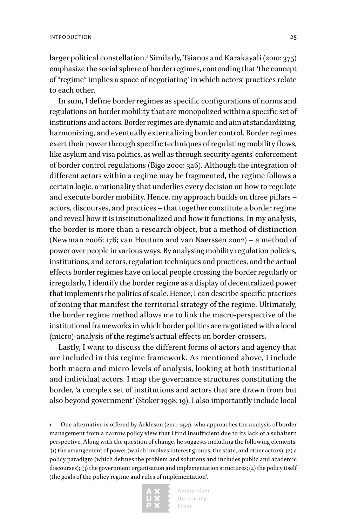larger political constellation.<sup>1</sup> Similarly, Tsianos and Karakayali (2010: 375) emphasize the social sphere of border regimes, contending that 'the concept of "regime" implies a space of negotiating' in which actors' practices relate to each other.

In sum, I define border regimes as specific configurations of norms and regulations on border mobility that are monopolized within a specific set of institutions and actors. Border regimes are dynamic and aim at standardizing, harmonizing, and eventually externalizing border control. Border regimes exert their power through specific techniques of regulating mobility flows, like asylum and visa politics, as well as through security agents' enforcement of border control regulations (Bigo 2000: 326). Although the integration of different actors within a regime may be fragmented, the regime follows a certain logic, a rationality that underlies every decision on how to regulate and execute border mobility. Hence, my approach builds on three pillars – actors, discourses, and practices – that together constitute a border regime and reveal how it is institutionalized and how it functions. In my analysis, the border is more than a research object, but a method of distinction (Newman 2006: 176; van Houtum and van Naerssen 2002) – a method of power over people in various ways. By analysing mobility regulation policies, institutions, and actors, regulation techniques and practices, and the actual effects border regimes have on local people crossing the border regularly or irregularly, I identify the border regime as a display of decentralized power that implements the politics of scale. Hence, I can describe specific practices of zoning that manifest the territorial strategy of the regime. Ultimately, the border regime method allows me to link the macro-perspective of the institutional frameworks in which border politics are negotiated with a local (micro)-analysis of the regime's actual effects on border-crossers.

Lastly, I want to discuss the different forms of actors and agency that are included in this regime framework. As mentioned above, I include both macro and micro levels of analysis, looking at both institutional and individual actors. I map the governance structures constituting the border, 'a complex set of institutions and actors that are drawn from but also beyond government' (Stoker 1998: 19). I also importantly include local

1 One alternative is offered by Ackleson (2011: 254), who approaches the analysis of border management from a narrow policy view that I find insufficient due to its lack of a subaltern perspective. Along with the question of change, he suggests including the following elements: '(1) the arrangement of power (which involves interest groups, the state, and other actors); (2) a policy paradigm (which defines the problem and solutions and includes public and academic discourses); (3) the government organisation and implementation structures; (4) the policy itself (the goals of the policy regime and rules of implementation'.

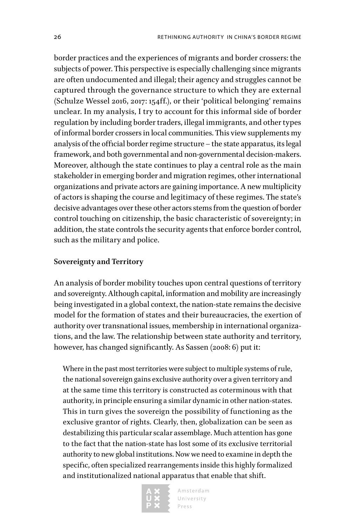border practices and the experiences of migrants and border crossers: the subjects of power. This perspective is especially challenging since migrants are often undocumented and illegal; their agency and struggles cannot be captured through the governance structure to which they are external (Schulze Wessel 2016, 2017: 154ff.), or their 'political belonging' remains unclear. In my analysis, I try to account for this informal side of border regulation by including border traders, illegal immigrants, and other types of informal border crossers in local communities. This view supplements my analysis of the official border regime structure – the state apparatus, its legal framework, and both governmental and non-governmental decision-makers. Moreover, although the state continues to play a central role as the main stakeholder in emerging border and migration regimes, other international organizations and private actors are gaining importance. A new multiplicity of actors is shaping the course and legitimacy of these regimes. The state's decisive advantages over these other actors stems from the question of border control touching on citizenship, the basic characteristic of sovereignty; in addition, the state controls the security agents that enforce border control, such as the military and police.

#### **Sovereignty and Territory**

An analysis of border mobility touches upon central questions of territory and sovereignty. Although capital, information and mobility are increasingly being investigated in a global context, the nation-state remains the decisive model for the formation of states and their bureaucracies, the exertion of authority over transnational issues, membership in international organizations, and the law. The relationship between state authority and territory, however, has changed significantly. As Sassen (2008: 6) put it:

Where in the past most territories were subject to multiple systems of rule, the national sovereign gains exclusive authority over a given territory and at the same time this territory is constructed as coterminous with that authority, in principle ensuring a similar dynamic in other nation-states. This in turn gives the sovereign the possibility of functioning as the exclusive grantor of rights. Clearly, then, globalization can be seen as destabilizing this particular scalar assemblage. Much attention has gone to the fact that the nation-state has lost some of its exclusive territorial authority to new global institutions. Now we need to examine in depth the specific, often specialized rearrangements inside this highly formalized and institutionalized national apparatus that enable that shift.

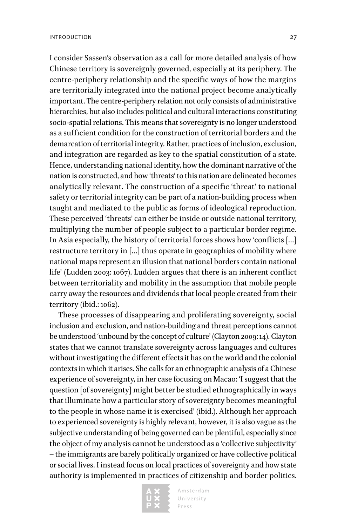I consider Sassen's observation as a call for more detailed analysis of how Chinese territory is sovereignly governed, especially at its periphery. The centre-periphery relationship and the specific ways of how the margins are territorially integrated into the national project become analytically important. The centre-periphery relation not only consists of administrative hierarchies, but also includes political and cultural interactions constituting socio-spatial relations. This means that sovereignty is no longer understood as a sufficient condition for the construction of territorial borders and the demarcation of territorial integrity. Rather, practices of inclusion, exclusion, and integration are regarded as key to the spatial constitution of a state. Hence, understanding national identity, how the dominant narrative of the nation is constructed, and how 'threats' to this nation are delineated becomes analytically relevant. The construction of a specific 'threat' to national safety or territorial integrity can be part of a nation-building process when taught and mediated to the public as forms of ideological reproduction. These perceived 'threats' can either be inside or outside national territory, multiplying the number of people subject to a particular border regime. In Asia especially, the history of territorial forces shows how 'conflicts […] restructure territory in […] thus operate in geographies of mobility where national maps represent an illusion that national borders contain national life' (Ludden 2003: 1067). Ludden argues that there is an inherent conflict between territoriality and mobility in the assumption that mobile people carry away the resources and dividends that local people created from their territory (ibid.: 1062).

These processes of disappearing and proliferating sovereignty, social inclusion and exclusion, and nation-building and threat perceptions cannot be understood 'unbound by the concept of culture' (Clayton 2009: 14). Clayton states that we cannot translate sovereignty across languages and cultures without investigating the different effects it has on the world and the colonial contexts in which it arises. She calls for an ethnographic analysis of a Chinese experience of sovereignty, in her case focusing on Macao: 'I suggest that the question [of sovereignty] might better be studied ethnographically in ways that illuminate how a particular story of sovereignty becomes meaningful to the people in whose name it is exercised' (ibid.). Although her approach to experienced sovereignty is highly relevant, however, it is also vague as the subjective understanding of being governed can be plentiful, especially since the object of my analysis cannot be understood as a 'collective subjectivity' – the immigrants are barely politically organized or have collective political or social lives. I instead focus on local practices of sovereignty and how state authority is implemented in practices of citizenship and border politics.

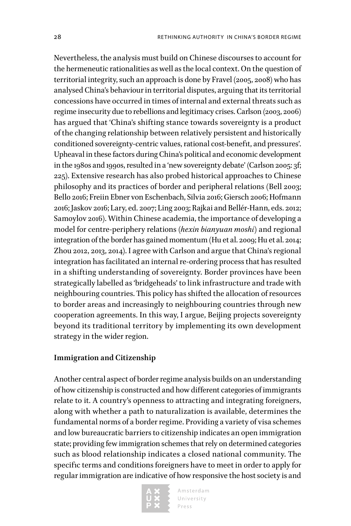Nevertheless, the analysis must build on Chinese discourses to account for the hermeneutic rationalities as well as the local context. On the question of territorial integrity, such an approach is done by Fravel (2005, 2008) who has analysed China's behaviour in territorial disputes, arguing that its territorial concessions have occurred in times of internal and external threats such as regime insecurity due to rebellions and legitimacy crises. Carlson (2003, 2006) has argued that 'China's shifting stance towards sovereignty is a product of the changing relationship between relatively persistent and historically conditioned sovereignty-centric values, rational cost-benefit, and pressures'. Upheaval in these factors during China's political and economic development in the 1980s and 1990s, resulted in a 'new sovereignty debate' (Carlson 2005: 3f; 225). Extensive research has also probed historical approaches to Chinese philosophy and its practices of border and peripheral relations (Bell 2003; Bello 2016; Freiin Ebner von Eschenbach, Silvia 2016; Giersch 2006; Hofmann 2016; Jaskov 2016; Lary, ed. 2007; Ling 2003; Rajkai and Bellér-Hann, eds. 2012; Samoylov 2016). Within Chinese academia, the importance of developing a model for centre-periphery relations (*hexin bianyuan moshi*) and regional integration of the border has gained momentum (Hu et al. 2009; Hu et al. 2014; Zhou 2012, 2013, 2014). I agree with Carlson and argue that China's regional integration has facilitated an internal re-ordering process that has resulted in a shifting understanding of sovereignty. Border provinces have been strategically labelled as 'bridgeheads' to link infrastructure and trade with neighbouring countries. This policy has shifted the allocation of resources to border areas and increasingly to neighbouring countries through new cooperation agreements. In this way, I argue, Beijing projects sovereignty beyond its traditional territory by implementing its own development strategy in the wider region.

#### **Immigration and Citizenship**

Another central aspect of border regime analysis builds on an understanding of how citizenship is constructed and how different categories of immigrants relate to it. A country's openness to attracting and integrating foreigners, along with whether a path to naturalization is available, determines the fundamental norms of a border regime. Providing a variety of visa schemes and low bureaucratic barriers to citizenship indicates an open immigration state; providing few immigration schemes that rely on determined categories such as blood relationship indicates a closed national community. The specific terms and conditions foreigners have to meet in order to apply for regular immigration are indicative of how responsive the host society is and

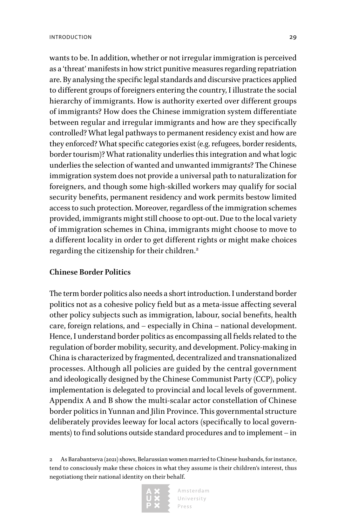wants to be. In addition, whether or not irregular immigration is perceived as a 'threat' manifests in how strict punitive measures regarding repatriation are. By analysing the specific legal standards and discursive practices applied to different groups of foreigners entering the country, I illustrate the social hierarchy of immigrants. How is authority exerted over different groups of immigrants? How does the Chinese immigration system differentiate between regular and irregular immigrants and how are they specifically controlled? What legal pathways to permanent residency exist and how are they enforced? What specific categories exist (e.g. refugees, border residents, border tourism)? What rationality underlies this integration and what logic underlies the selection of wanted and unwanted immigrants? The Chinese immigration system does not provide a universal path to naturalization for foreigners, and though some high-skilled workers may qualify for social security benefits, permanent residency and work permits bestow limited access to such protection. Moreover, regardless of the immigration schemes provided, immigrants might still choose to opt-out. Due to the local variety of immigration schemes in China, immigrants might choose to move to a different locality in order to get different rights or might make choices regarding the citizenship for their children.<sup>2</sup>

#### **Chinese Border Politics**

The term border politics also needs a short introduction. I understand border politics not as a cohesive policy field but as a meta-issue affecting several other policy subjects such as immigration, labour, social benefits, health care, foreign relations, and – especially in China – national development. Hence, I understand border politics as encompassing all fields related to the regulation of border mobility, security, and development. Policy-making in China is characterized by fragmented, decentralized and transnationalized processes. Although all policies are guided by the central government and ideologically designed by the Chinese Communist Party (CCP), policy implementation is delegated to provincial and local levels of government. Appendix A and B show the multi-scalar actor constellation of Chinese border politics in Yunnan and Jilin Province. This governmental structure deliberately provides leeway for local actors (specifically to local governments) to find solutions outside standard procedures and to implement – in

<sup>2</sup> As Barabantseva (2021) shows, Belarussian women married to Chinese husbands, for instance, tend to consciously make these choices in what they assume is their children's interest, thus negotiationg their national identity on their behalf.

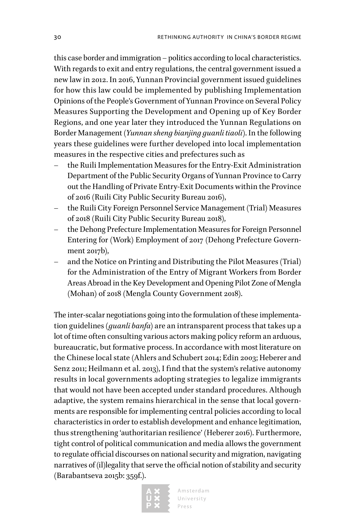this case border and immigration – politics according to local characteristics. With regards to exit and entry regulations, the central government issued a new law in 2012. In 2016, Yunnan Provincial government issued guidelines for how this law could be implemented by publishing Implementation Opinions of the People's Government of Yunnan Province on Several Policy Measures Supporting the Development and Opening up of Key Border Regions, and one year later they introduced the Yunnan Regulations on Border Management (*Yunnan sheng bianjing guanli tiaoli*). In the following years these guidelines were further developed into local implementation measures in the respective cities and prefectures such as

- the Ruili Implementation Measures for the Entry-Exit Administration Department of the Public Security Organs of Yunnan Province to Carry out the Handling of Private Entry-Exit Documents within the Province of 2016 (Ruili City Public Security Bureau 2016),
- the Ruili City Foreign Personnel Service Management (Trial) Measures of 2018 (Ruili City Public Security Bureau 2018),
- the Dehong Prefecture Implementation Measures for Foreign Personnel Entering for (Work) Employment of 2017 (Dehong Prefecture Government 2017b),
- and the Notice on Printing and Distributing the Pilot Measures (Trial) for the Administration of the Entry of Migrant Workers from Border Areas Abroad in the Key Development and Opening Pilot Zone of Mengla (Mohan) of 2018 (Mengla County Government 2018).

The inter-scalar negotiations going into the formulation of these implementation guidelines (*guanli banfa*) are an intransparent process that takes up a lot of time often consulting various actors making policy reform an arduous, bureaucratic, but formative process. In accordance with most literature on the Chinese local state (Ahlers and Schubert 2014; Edin 2003; Heberer and Senz 2011; Heilmann et al. 2013), I find that the system's relative autonomy results in local governments adopting strategies to legalize immigrants that would not have been accepted under standard procedures. Although adaptive, the system remains hierarchical in the sense that local governments are responsible for implementing central policies according to local characteristics in order to establish development and enhance legitimation, thus strengthening 'authoritarian resilience' (Heberer 2016). Furthermore, tight control of political communication and media allows the government to regulate official discourses on national security and migration, navigating narratives of (il)legality that serve the official notion of stability and security (Barabantseva 2015b: 359f.).

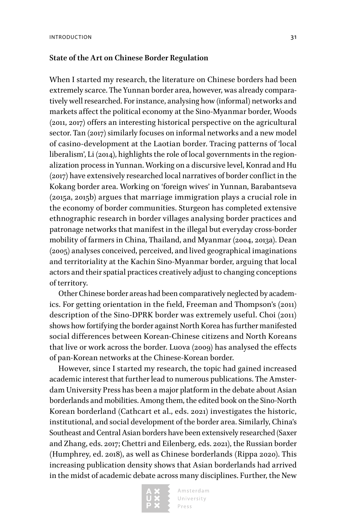#### **State of the Art on Chinese Border Regulation**

When I started my research, the literature on Chinese borders had been extremely scarce. The Yunnan border area, however, was already comparatively well researched. For instance, analysing how (informal) networks and markets affect the political economy at the Sino-Myanmar border, Woods (2011, 2017) offers an interesting historical perspective on the agricultural sector. Tan (2017) similarly focuses on informal networks and a new model of casino-development at the Laotian border. Tracing patterns of 'local liberalism', Li (2014), highlights the role of local governments in the regionalization process in Yunnan. Working on a discursive level, Konrad and Hu (2017) have extensively researched local narratives of border conflict in the Kokang border area. Working on 'foreign wives' in Yunnan, Barabantseva (2015a, 2015b) argues that marriage immigration plays a crucial role in the economy of border communities. Sturgeon has completed extensive ethnographic research in border villages analysing border practices and patronage networks that manifest in the illegal but everyday cross-border mobility of farmers in China, Thailand, and Myanmar (2004, 2013a). Dean (2005) analyses conceived, perceived, and lived geographical imaginations and territoriality at the Kachin Sino-Myanmar border, arguing that local actors and their spatial practices creatively adjust to changing conceptions of territory.

Other Chinese border areas had been comparatively neglected by academics. For getting orientation in the field, Freeman and Thompson's (2011) description of the Sino-DPRK border was extremely useful. Choi (2011) shows how fortifying the border against North Korea has further manifested social differences between Korean-Chinese citizens and North Koreans that live or work across the border. Luova (2009) has analysed the effects of pan-Korean networks at the Chinese-Korean border.

However, since I started my research, the topic had gained increased academic interest that further lead to numerous publications. The Amsterdam University Press has been a major platform in the debate about Asian borderlands and mobilities. Among them, the edited book on the Sino-North Korean borderland (Cathcart et al., eds. 2021) investigates the historic, institutional, and social development of the border area. Similarly, China's Southeast and Central Asian borders have been extensively researched (Saxer and Zhang, eds. 2017; Chettri and Eilenberg, eds. 2021), the Russian border (Humphrey, ed. 2018), as well as Chinese borderlands (Rippa 2020). This increasing publication density shows that Asian borderlands had arrived in the midst of academic debate across many disciplines. Further, the New

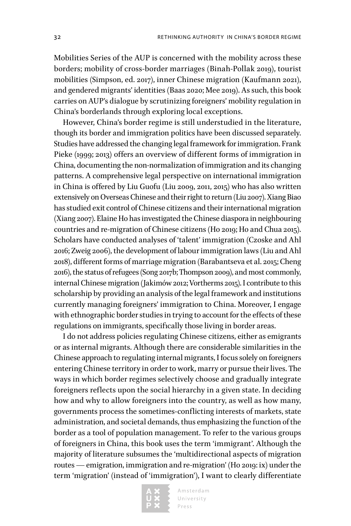Mobilities Series of the AUP is concerned with the mobility across these borders; mobility of cross-border marriages (Binah-Pollak 2019), tourist mobilities (Simpson, ed. 2017), inner Chinese migration (Kaufmann 2021), and gendered migrants' identities (Baas 2020; Mee 2019). As such, this book carries on AUP's dialogue by scrutinizing foreigners' mobility regulation in China's borderlands through exploring local exceptions.

However, China's border regime is still understudied in the literature, though its border and immigration politics have been discussed separately. Studies have addressed the changing legal framework for immigration. Frank Pieke (1999; 2013) offers an overview of different forms of immigration in China, documenting the non-normalization of immigration and its changing patterns. A comprehensive legal perspective on international immigration in China is offered by Liu Guofu (Liu 2009, 2011, 2015) who has also written extensively on Overseas Chinese and their right to return (Liu 2007). Xiang Biao has studied exit control of Chinese citizens and their international migration (Xiang 2007). Elaine Ho has investigated the Chinese diaspora in neighbouring countries and re-migration of Chinese citizens (Ho 2019; Ho and Chua 2015). Scholars have conducted analyses of 'talent' immigration (Czoske and Ahl 2016; Zweig 2006), the development of labour immigration laws (Liu and Ahl 2018), different forms of marriage migration (Barabantseva et al. 2015; Cheng 2016), the status of refugees (Song 2017b; Thompson 2009), and most commonly, internal Chinese migration (Jakimów 2012; Vortherms 2015). I contribute to this scholarship by providing an analysis of the legal framework and institutions currently managing foreigners' immigration to China. Moreover, I engage with ethnographic border studies in trying to account for the effects of these regulations on immigrants, specifically those living in border areas.

I do not address policies regulating Chinese citizens, either as emigrants or as internal migrants. Although there are considerable similarities in the Chinese approach to regulating internal migrants, I focus solely on foreigners entering Chinese territory in order to work, marry or pursue their lives. The ways in which border regimes selectively choose and gradually integrate foreigners reflects upon the social hierarchy in a given state. In deciding how and why to allow foreigners into the country, as well as how many, governments process the sometimes-conflicting interests of markets, state administration, and societal demands, thus emphasizing the function of the border as a tool of population management. To refer to the various groups of foreigners in China, this book uses the term 'immigrant'. Although the majority of literature subsumes the 'multidirectional aspects of migration routes — emigration, immigration and re-migration' (Ho 2019: ix) under the term 'migration' (instead of 'immigration'), I want to clearly differentiate

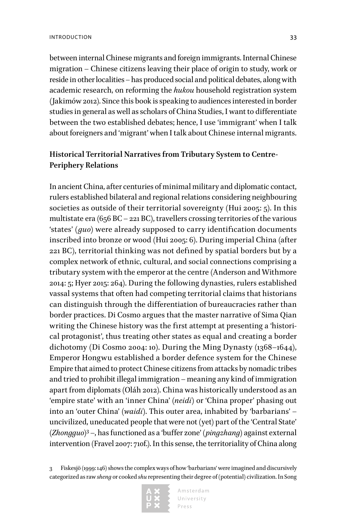between internal Chinese migrants and foreign immigrants. Internal Chinese migration – Chinese citizens leaving their place of origin to study, work or reside in other localities – has produced social and political debates, along with academic research, on reforming the *hukou* household registration system (Jakimów 2012). Since this book is speaking to audiences interested in border studies in general as well as scholars of China Studies, I want to differentiate between the two established debates; hence, I use 'immigrant' when I talk about foreigners and 'migrant' when I talk about Chinese internal migrants.

#### **Historical Territorial Narratives from Tributary System to Centre-Periphery Relations**

In ancient China, after centuries of minimal military and diplomatic contact, rulers established bilateral and regional relations considering neighbouring societies as outside of their territorial sovereignty (Hui 2005: 5). In this multistate era (656 BC – 221 BC), travellers crossing territories of the various 'states' (*guo*) were already supposed to carry identification documents inscribed into bronze or wood (Hui 2005: 6). During imperial China (after 221 BC), territorial thinking was not defined by spatial borders but by a complex network of ethnic, cultural, and social connections comprising a tributary system with the emperor at the centre (Anderson and Withmore 2014: 5; Hyer 2015: 264). During the following dynasties, rulers established vassal systems that often had competing territorial claims that historians can distinguish through the differentiation of bureaucracies rather than border practices. Di Cosmo argues that the master narrative of Sima Qian writing the Chinese history was the first attempt at presenting a 'historical protagonist', thus treating other states as equal and creating a border dichotomy (Di Cosmo 2004: 10). During the Ming Dynasty (1368–1644), Emperor Hongwu established a border defence system for the Chinese Empire that aimed to protect Chinese citizens from attacks by nomadic tribes and tried to prohibit illegal immigration – meaning any kind of immigration apart from diplomats (Oláh 2012). China was historically understood as an 'empire state' with an 'inner China' (*neidi*) or 'China proper' phasing out into an 'outer China' (*waidi*). This outer area, inhabited by 'barbarians' – uncivilized, uneducated people that were not (yet) part of the 'Central State' (*Zhongguo*) 3 –, has functioned as a 'buffer zone' (*pingzhang*) against external intervention (Fravel 2007: 710f.). In this sense, the territoriality of China along

<sup>3</sup> Fiskesjö (1999: 146) shows the complex ways of how 'barbarians' were imagined and discursively categorized as raw *sheng* or cooked *shu* representing their degree of (potential) civilization. In Song

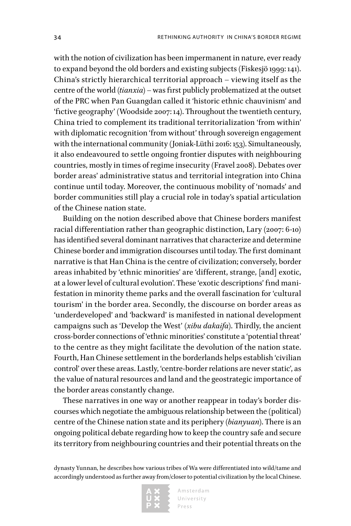with the notion of civilization has been impermanent in nature, ever ready to expand beyond the old borders and existing subjects (Fiskesjö 1999: 141). China's strictly hierarchical territorial approach – viewing itself as the centre of the world (*tianxia*) – was first publicly problematized at the outset of the PRC when Pan Guangdan called it 'historic ethnic chauvinism' and 'fictive geography' (Woodside 2007: 14). Throughout the twentieth century, China tried to complement its traditional territorialization 'from within' with diplomatic recognition 'from without' through sovereign engagement with the international community (Joniak-Lüthi 2016: 153). Simultaneously, it also endeavoured to settle ongoing frontier disputes with neighbouring countries, mostly in times of regime insecurity (Fravel 2008). Debates over border areas' administrative status and territorial integration into China continue until today. Moreover, the continuous mobility of 'nomads' and border communities still play a crucial role in today's spatial articulation of the Chinese nation state.

Building on the notion described above that Chinese borders manifest racial differentiation rather than geographic distinction, Lary (2007: 6-10) has identified several dominant narratives that characterize and determine Chinese border and immigration discourses until today. The first dominant narrative is that Han China is the centre of civilization; conversely, border areas inhabited by 'ethnic minorities' are 'different, strange, [and] exotic, at a lower level of cultural evolution'. These 'exotic descriptions' find manifestation in minority theme parks and the overall fascination for 'cultural tourism' in the border area. Secondly, the discourse on border areas as 'underdeveloped' and 'backward' is manifested in national development campaigns such as 'Develop the West' (*xibu dakaifa*). Thirdly, the ancient cross-border connections of 'ethnic minorities' constitute a 'potential threat' to the centre as they might facilitate the devolution of the nation state. Fourth, Han Chinese settlement in the borderlands helps establish 'civilian control' over these areas. Lastly, 'centre-border relations are never static', as the value of natural resources and land and the geostrategic importance of the border areas constantly change.

These narratives in one way or another reappear in today's border discourses which negotiate the ambiguous relationship between the (political) centre of the Chinese nation state and its periphery (*bianyuan*). There is an ongoing political debate regarding how to keep the country safe and secure its territory from neighbouring countries and their potential threats on the

dynasty Yunnan, he describes how various tribes of Wa were differentiated into wild/tame and accordingly understood as further away from/closer to potential civilization by the local Chinese.

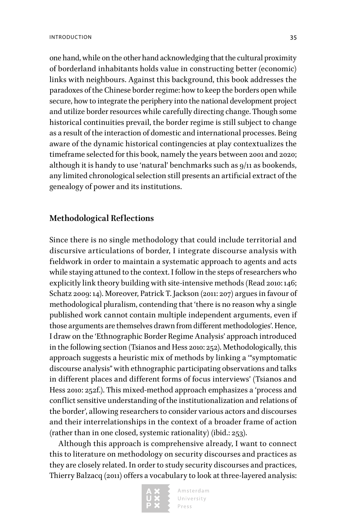one hand, while on the other hand acknowledging that the cultural proximity of borderland inhabitants holds value in constructing better (economic) links with neighbours. Against this background, this book addresses the paradoxes of the Chinese border regime: how to keep the borders open while secure, how to integrate the periphery into the national development project and utilize border resources while carefully directing change. Though some historical continuities prevail, the border regime is still subject to change as a result of the interaction of domestic and international processes. Being aware of the dynamic historical contingencies at play contextualizes the timeframe selected for this book, namely the years between 2001 and 2020; although it is handy to use 'natural' benchmarks such as 9/11 as bookends, any limited chronological selection still presents an artificial extract of the genealogy of power and its institutions.

#### **Methodological Reflections**

Since there is no single methodology that could include territorial and discursive articulations of border, I integrate discourse analysis with fieldwork in order to maintain a systematic approach to agents and acts while staying attuned to the context. I follow in the steps of researchers who explicitly link theory building with site-intensive methods (Read 2010: 146; Schatz 2009: 14). Moreover, Patrick T. Jackson (2011: 207) argues in favour of methodological pluralism, contending that 'there is no reason why a single published work cannot contain multiple independent arguments, even if those arguments are themselves drawn from different methodologies'. Hence, I draw on the 'Ethnographic Border Regime Analysis' approach introduced in the following section (Tsianos and Hess 2010: 252). Methodologically, this approach suggests a heuristic mix of methods by linking a '"symptomatic discourse analysis" with ethnographic participating observations and talks in different places and different forms of focus interviews' (Tsianos and Hess 2010: 252f.). This mixed-method approach emphasizes a 'process and conflict sensitive understanding of the institutionalization and relations of the border', allowing researchers to consider various actors and discourses and their interrelationships in the context of a broader frame of action (rather than in one closed, systemic rationality) (ibid.: 253).

Although this approach is comprehensive already, I want to connect this to literature on methodology on security discourses and practices as they are closely related. In order to study security discourses and practices, Thierry Balzacq (2011) offers a vocabulary to look at three-layered analysis:

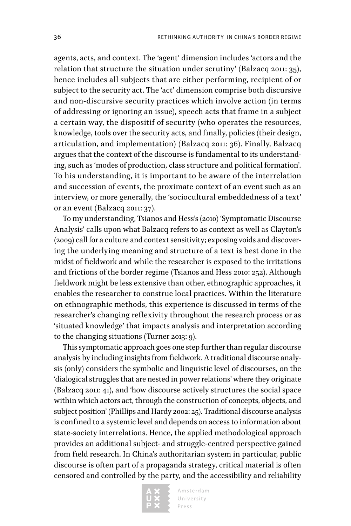agents, acts, and context. The 'agent' dimension includes 'actors and the relation that structure the situation under scrutiny' (Balzacq 2011: 35), hence includes all subjects that are either performing, recipient of or subject to the security act. The 'act' dimension comprise both discursive and non-discursive security practices which involve action (in terms of addressing or ignoring an issue), speech acts that frame in a subject a certain way, the dispositif of security (who operates the resources, knowledge, tools over the security acts, and finally, policies (their design, articulation, and implementation) (Balzacq 2011: 36). Finally, Balzacq argues that the context of the discourse is fundamental to its understanding, such as 'modes of production, class structure and political formation'. To his understanding, it is important to be aware of the interrelation and succession of events, the proximate context of an event such as an interview, or more generally, the 'sociocultural embeddedness of a text' or an event (Balzacq 2011: 37).

To my understanding, Tsianos and Hess's (2010) 'Symptomatic Discourse Analysis' calls upon what Balzacq refers to as context as well as Clayton's (2009) call for a culture and context sensitivity; exposing voids and discovering the underlying meaning and structure of a text is best done in the midst of fieldwork and while the researcher is exposed to the irritations and frictions of the border regime (Tsianos and Hess 2010: 252). Although fieldwork might be less extensive than other, ethnographic approaches, it enables the researcher to construe local practices. Within the literature on ethnographic methods, this experience is discussed in terms of the researcher's changing reflexivity throughout the research process or as 'situated knowledge' that impacts analysis and interpretation according to the changing situations (Turner 2013: 9).

This symptomatic approach goes one step further than regular discourse analysis by including insights from fieldwork. A traditional discourse analysis (only) considers the symbolic and linguistic level of discourses, on the 'dialogical struggles that are nested in power relations' where they originate (Balzacq 2011: 41), and 'how discourse actively structures the social space within which actors act, through the construction of concepts, objects, and subject position' (Phillips and Hardy 2002: 25). Traditional discourse analysis is confined to a systemic level and depends on access to information about state-society interrelations. Hence, the applied methodological approach provides an additional subject- and struggle-centred perspective gained from field research. In China's authoritarian system in particular, public discourse is often part of a propaganda strategy, critical material is often censored and controlled by the party, and the accessibility and reliability

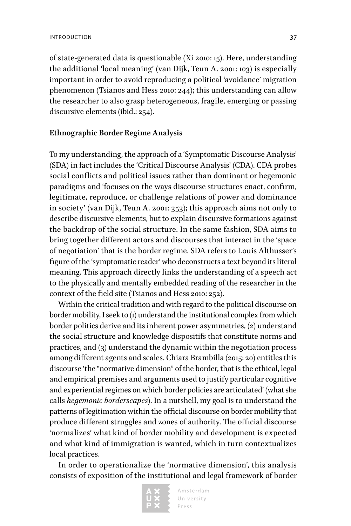of state-generated data is questionable (Xi 2010: 15). Here, understanding the additional 'local meaning' (van Dijk, Teun A. 2001: 103) is especially important in order to avoid reproducing a political 'avoidance' migration phenomenon (Tsianos and Hess 2010: 244); this understanding can allow the researcher to also grasp heterogeneous, fragile, emerging or passing discursive elements (ibid.: 254).

#### **Ethnographic Border Regime Analysis**

To my understanding, the approach of a 'Symptomatic Discourse Analysis' (SDA) in fact includes the 'Critical Discourse Analysis' (CDA). CDA probes social conflicts and political issues rather than dominant or hegemonic paradigms and 'focuses on the ways discourse structures enact, confirm, legitimate, reproduce, or challenge relations of power and dominance in society' (van Dijk, Teun A. 2001: 353); this approach aims not only to describe discursive elements, but to explain discursive formations against the backdrop of the social structure. In the same fashion, SDA aims to bring together different actors and discourses that interact in the 'space of negotiation' that is the border regime. SDA refers to Louis Althusser's figure of the 'symptomatic reader' who deconstructs a text beyond its literal meaning. This approach directly links the understanding of a speech act to the physically and mentally embedded reading of the researcher in the context of the field site (Tsianos and Hess 2010: 252).

Within the critical tradition and with regard to the political discourse on border mobility, I seek to (1) understand the institutional complex from which border politics derive and its inherent power asymmetries, (2) understand the social structure and knowledge dispositifs that constitute norms and practices, and (3) understand the dynamic within the negotiation process among different agents and scales. Chiara Brambilla (2015: 20) entitles this discourse 'the "normative dimension" of the border, that is the ethical, legal and empirical premises and arguments used to justify particular cognitive and experiential regimes on which border policies are articulated' (what she calls *hegemonic borderscapes*). In a nutshell, my goal is to understand the patterns of legitimation within the official discourse on border mobility that produce different struggles and zones of authority. The official discourse 'normalizes' what kind of border mobility and development is expected and what kind of immigration is wanted, which in turn contextualizes local practices.

In order to operationalize the 'normative dimension', this analysis consists of exposition of the institutional and legal framework of border

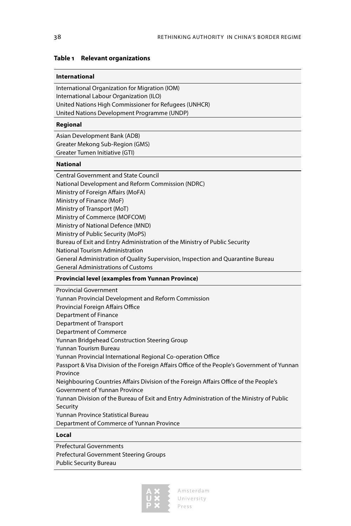#### <span id="page-38-0"></span>**Table 1 Relevant organizations**

#### **International**

International Organization for Migration (IOM) International Labour Organization (ILO) United Nations High Commissioner for Refugees (UNHCR) United Nations Development Programme (UNDP)

#### **Regional**

Asian Development Bank (ADB) Greater Mekong Sub-Region (GMS) Greater Tumen Initiative (GTI)

#### **National**

Central Government and State Council National Development and Reform Commission (NDRC) Ministry of Foreign Affairs (MoFA) Ministry of Finance (MoF) Ministry of Transport (MoT) Ministry of Commerce (MOFCOM) Ministry of National Defence (MND) Ministry of Public Security (MoPS) Bureau of Exit and Entry Administration of the Ministry of Public Security National Tourism Administration General Administration of Quality Supervision, Inspection and Quarantine Bureau General Administrations of Customs

#### **Provincial level (examples from Yunnan Province)**

Provincial Government Yunnan Provincial Development and Reform Commission Provincial Foreign Affairs Office Department of Finance Department of Transport Department of Commerce Yunnan Bridgehead Construction Steering Group Yunnan Tourism Bureau Yunnan Provincial International Regional Co-operation Office Passport & Visa Division of the Foreign Affairs Office of the People's Government of Yunnan Province Neighbouring Countries Affairs Division of the Foreign Affairs Office of the People's Government of Yunnan Province Yunnan Division of the Bureau of Exit and Entry Administration of the Ministry of Public Security Yunnan Province Statistical Bureau Department of Commerce of Yunnan Province

#### **Local**

Prefectural Governments Prefectural Government Steering Groups Public Security Bureau

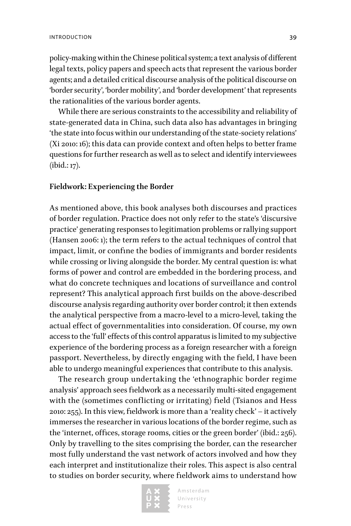policy-making within the Chinese political system; a text analysis of different legal texts, policy papers and speech acts that represent the various border agents; and a detailed critical discourse analysis of the political discourse on 'border security', 'border mobility', and 'border development' that represents the rationalities of the various border agents.

While there are serious constraints to the accessibility and reliability of state-generated data in China, such data also has advantages in bringing 'the state into focus within our understanding of the state-society relations' (Xi 2010: 16); this data can provide context and often helps to better frame questions for further research as well as to select and identify interviewees (ibid.: 17).

#### **Fieldwork: Experiencing the Border**

As mentioned above, this book analyses both discourses and practices of border regulation. Practice does not only refer to the state's 'discursive practice' generating responses to legitimation problems or rallying support (Hansen 2006: 1); the term refers to the actual techniques of control that impact, limit, or confine the bodies of immigrants and border residents while crossing or living alongside the border. My central question is: what forms of power and control are embedded in the bordering process, and what do concrete techniques and locations of surveillance and control represent? This analytical approach first builds on the above-described discourse analysis regarding authority over border control; it then extends the analytical perspective from a macro-level to a micro-level, taking the actual effect of governmentalities into consideration. Of course, my own access to the 'full' effects of this control apparatus is limited to my subjective experience of the bordering process as a foreign researcher with a foreign passport. Nevertheless, by directly engaging with the field, I have been able to undergo meaningful experiences that contribute to this analysis.

The research group undertaking the 'ethnographic border regime analysis' approach sees fieldwork as a necessarily multi-sited engagement with the (sometimes conflicting or irritating) field (Tsianos and Hess 2010: 255). In this view, fieldwork is more than a 'reality check' – it actively immerses the researcher in various locations of the border regime, such as the 'internet, offices, storage rooms, cities or the green border' (ibid.: 256). Only by travelling to the sites comprising the border, can the researcher most fully understand the vast network of actors involved and how they each interpret and institutionalize their roles. This aspect is also central to studies on border security, where fieldwork aims to understand how

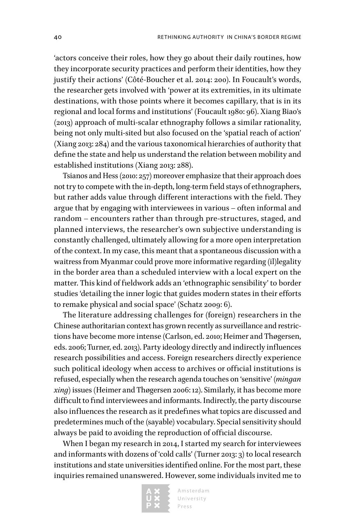'actors conceive their roles, how they go about their daily routines, how they incorporate security practices and perform their identities, how they justify their actions' (Côté-Boucher et al. 2014: 200). In Foucault's words, the researcher gets involved with 'power at its extremities, in its ultimate destinations, with those points where it becomes capillary, that is in its regional and local forms and institutions' (Foucault 1980: 96). Xiang Biao's (2013) approach of multi-scalar ethnography follows a similar rationality, being not only multi-sited but also focused on the 'spatial reach of action' (Xiang 2013: 284) and the various taxonomical hierarchies of authority that define the state and help us understand the relation between mobility and established institutions (Xiang 2013: 288).

Tsianos and Hess (2010: 257) moreover emphasize that their approach does not try to compete with the in-depth, long-term field stays of ethnographers, but rather adds value through different interactions with the field. They argue that by engaging with interviewees in various – often informal and random – encounters rather than through pre-structures, staged, and planned interviews, the researcher's own subjective understanding is constantly challenged, ultimately allowing for a more open interpretation of the context. In my case, this meant that a spontaneous discussion with a waitress from Myanmar could prove more informative regarding (il)legality in the border area than a scheduled interview with a local expert on the matter. This kind of fieldwork adds an 'ethnographic sensibility' to border studies 'detailing the inner logic that guides modern states in their efforts to remake physical and social space' (Schatz 2009: 6).

The literature addressing challenges for (foreign) researchers in the Chinese authoritarian context has grown recently as surveillance and restrictions have become more intense (Carlson, ed. 2010; Heimer and Thøgersen, eds. 2006; Turner, ed. 2013). Party ideology directly and indirectly influences research possibilities and access. Foreign researchers directly experience such political ideology when access to archives or official institutions is refused, especially when the research agenda touches on 'sensitive' (*mingan xing*) issues (Heimer and Thøgersen 2006: 12). Similarly, it has become more difficult to find interviewees and informants. Indirectly, the party discourse also influences the research as it predefines what topics are discussed and predetermines much of the (sayable) vocabulary. Special sensitivity should always be paid to avoiding the reproduction of official discourse.

When I began my research in 2014, I started my search for interviewees and informants with dozens of 'cold calls' (Turner 2013: 3) to local research institutions and state universities identified online. For the most part, these inquiries remained unanswered. However, some individuals invited me to

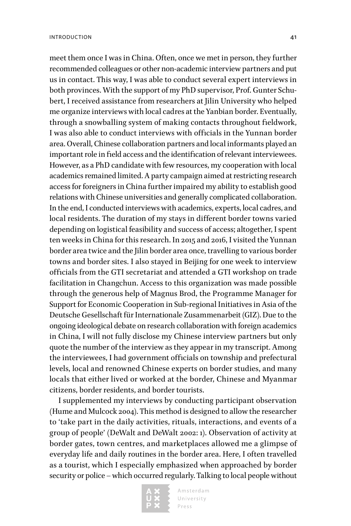meet them once I was in China. Often, once we met in person, they further recommended colleagues or other non-academic interview partners and put us in contact. This way, I was able to conduct several expert interviews in both provinces. With the support of my PhD supervisor, Prof. Gunter Schubert, I received assistance from researchers at Jilin University who helped me organize interviews with local cadres at the Yanbian border. Eventually, through a snowballing system of making contacts throughout fieldwork, I was also able to conduct interviews with officials in the Yunnan border area. Overall, Chinese collaboration partners and local informants played an important role in field access and the identification of relevant interviewees. However, as a PhD candidate with few resources, my cooperation with local academics remained limited. A party campaign aimed at restricting research access for foreigners in China further impaired my ability to establish good relations with Chinese universities and generally complicated collaboration. In the end, I conducted interviews with academics, experts, local cadres, and local residents. The duration of my stays in different border towns varied depending on logistical feasibility and success of access; altogether, I spent ten weeks in China for this research. In 2015 and 2016, I visited the Yunnan border area twice and the Jilin border area once, travelling to various border towns and border sites. I also stayed in Beijing for one week to interview officials from the GTI secretariat and attended a GTI workshop on trade facilitation in Changchun. Access to this organization was made possible through the generous help of Magnus Brod, the Programme Manager for Support for Economic Cooperation in Sub-regional Initiatives in Asia of the Deutsche Gesellschaft für Internationale Zusammenarbeit (GIZ). Due to the ongoing ideological debate on research collaboration with foreign academics in China, I will not fully disclose my Chinese interview partners but only quote the number of the interview as they appear in my transcript. Among the interviewees, I had government officials on township and prefectural levels, local and renowned Chinese experts on border studies, and many locals that either lived or worked at the border, Chinese and Myanmar citizens, border residents, and border tourists.

I supplemented my interviews by conducting participant observation (Hume and Mulcock 2004). This method is designed to allow the researcher to 'take part in the daily activities, rituals, interactions, and events of a group of people' (DeWalt and DeWalt 2002: 1). Observation of activity at border gates, town centres, and marketplaces allowed me a glimpse of everyday life and daily routines in the border area. Here, I often travelled as a tourist, which I especially emphasized when approached by border security or police – which occurred regularly. Talking to local people without

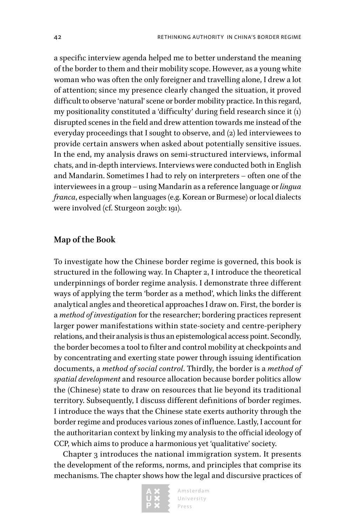a specific interview agenda helped me to better understand the meaning of the border to them and their mobility scope. However, as a young white woman who was often the only foreigner and travelling alone, I drew a lot of attention; since my presence clearly changed the situation, it proved difficult to observe 'natural' scene or border mobility practice. In this regard, my positionality constituted a 'difficulty' during field research since it (1) disrupted scenes in the field and drew attention towards me instead of the everyday proceedings that I sought to observe, and (2) led interviewees to provide certain answers when asked about potentially sensitive issues. In the end, my analysis draws on semi-structured interviews, informal chats, and in-depth interviews. Interviews were conducted both in English and Mandarin. Sometimes I had to rely on interpreters – often one of the interviewees in a group – using Mandarin as a reference language or *lingua franca*, especially when languages (e.g. Korean or Burmese) or local dialects were involved (cf. Sturgeon 2013b: 191).

#### **Map of the Book**

To investigate how the Chinese border regime is governed, this book is structured in the following way. In Chapter 2, I introduce the theoretical underpinnings of border regime analysis. I demonstrate three different ways of applying the term 'border as a method', which links the different analytical angles and theoretical approaches I draw on. First, the border is a *method of investigation* for the researcher; bordering practices represent larger power manifestations within state-society and centre-periphery relations, and their analysis is thus an epistemological access point. Secondly, the border becomes a tool to filter and control mobility at checkpoints and by concentrating and exerting state power through issuing identification documents, a *method of social control*. Thirdly, the border is a *method of spatial development* and resource allocation because border politics allow the (Chinese) state to draw on resources that lie beyond its traditional territory. Subsequently, I discuss different definitions of border regimes. I introduce the ways that the Chinese state exerts authority through the border regime and produces various zones of influence. Lastly, I account for the authoritarian context by linking my analysis to the official ideology of CCP, which aims to produce a harmonious yet 'qualitative' society.

Chapter 3 introduces the national immigration system. It presents the development of the reforms, norms, and principles that comprise its mechanisms. The chapter shows how the legal and discursive practices of

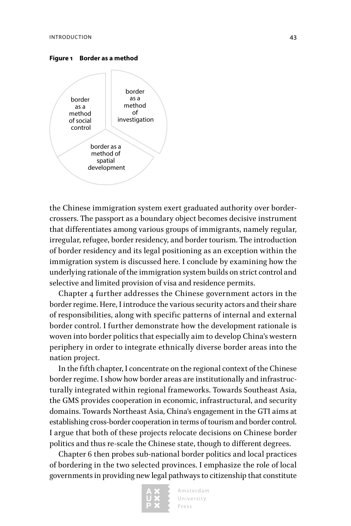<span id="page-43-0"></span>**Figure 1 Border as a method**



the Chinese immigration system exert graduated authority over bordercrossers. The passport as a boundary object becomes decisive instrument that differentiates among various groups of immigrants, namely regular, irregular, refugee, border residency, and border tourism. The introduction of border residency and its legal positioning as an exception within the immigration system is discussed here. I conclude by examining how the underlying rationale of the immigration system builds on strict control and selective and limited provision of visa and residence permits.

Chapter 4 further addresses the Chinese government actors in the border regime. Here, I introduce the various security actors and their share of responsibilities, along with specific patterns of internal and external border control. I further demonstrate how the development rationale is woven into border politics that especially aim to develop China's western periphery in order to integrate ethnically diverse border areas into the nation project.

In the fifth chapter, I concentrate on the regional context of the Chinese border regime. I show how border areas are institutionally and infrastructurally integrated within regional frameworks. Towards Southeast Asia, the GMS provides cooperation in economic, infrastructural, and security domains. Towards Northeast Asia, China's engagement in the GTI aims at establishing cross-border cooperation in terms of tourism and border control. I argue that both of these projects relocate decisions on Chinese border politics and thus re-scale the Chinese state, though to different degrees.

Chapter 6 then probes sub-national border politics and local practices of bordering in the two selected provinces. I emphasize the role of local governments in providing new legal pathways to citizenship that constitute

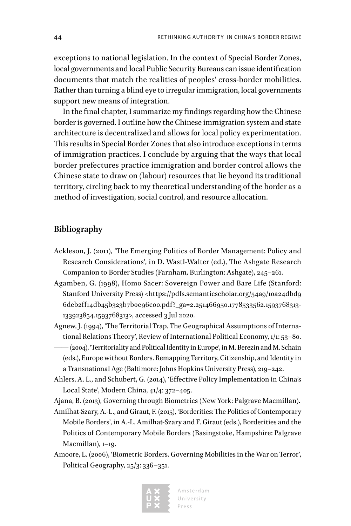exceptions to national legislation. In the context of Special Border Zones, local governments and local Public Security Bureaus can issue identification documents that match the realities of peoples' cross-border mobilities. Rather than turning a blind eye to irregular immigration, local governments support new means of integration.

In the final chapter, I summarize my findings regarding how the Chinese border is governed. I outline how the Chinese immigration system and state architecture is decentralized and allows for local policy experimentation. This results in Special Border Zones that also introduce exceptions in terms of immigration practices. I conclude by arguing that the ways that local border prefectures practice immigration and border control allows the Chinese state to draw on (labour) resources that lie beyond its traditional territory, circling back to my theoretical understanding of the border as a method of investigation, social control, and resource allocation.

#### **Bibliography**

- Ackleson, J. (2011), 'The Emerging Politics of Border Management: Policy and Research Considerations', in D. Wastl-Walter (ed.), The Ashgate Research Companion to Border Studies (Farnham, Burlington: Ashgate), 245–261.
- Agamben, G. (1998), Homo Sacer: Sovereign Power and Bare Life (Stanford: Stanford University Press) <[https://pdfs.semanticscholar.org/54a9/10a24dbd9](https://pdfs.semanticscholar.org/54a9/10a24dbd96deb2ff14db45b323b7b0e96c00.pdf?_ga=2.251466950.1778533562.1593768313-133923854.1593768313) [6deb2ff14db45b323b7b0e96c00.pdf?\\_ga=2.251466950.1778533562.1593768313-](https://pdfs.semanticscholar.org/54a9/10a24dbd96deb2ff14db45b323b7b0e96c00.pdf?_ga=2.251466950.1778533562.1593768313-133923854.1593768313) [133923854.1593768313](https://pdfs.semanticscholar.org/54a9/10a24dbd96deb2ff14db45b323b7b0e96c00.pdf?_ga=2.251466950.1778533562.1593768313-133923854.1593768313)>, accessed 3 Jul 2020.
- Agnew, J. (1994), 'The Territorial Trap. The Geographical Assumptions of International Relations Theory', Review of International Political Economy, 1/1: 53–80.
- —— (2004), 'Territoriality and Political Identity in Europe', in M. Berezin and M. Schain (eds.), Europe without Borders. Remapping Territory, Citizenship, and Identity in a Transnational Age (Baltimore: Johns Hopkins University Press), 219–242.
- Ahlers, A. L., and Schubert, G. (2014), 'Effective Policy Implementation in China's Local State', Modern China, 41/4: 372–405.

Ajana, B. (2013), Governing through Biometrics (New York: Palgrave Macmillan).

- Amilhat-Szary, A.-L., and Giraut, F. (2015), 'Borderities: The Politics of Contemporary Mobile Borders', in A.-L. Amilhat-Szary and F. Giraut (eds.), Borderities and the Politics of Contemporary Mobile Borders (Basingstoke, Hampshire: Palgrave Macmillan), 1–19.
- Amoore, L. (2006), 'Biometric Borders. Governing Mobilities in the War on Terror', Political Geography, 25/3: 336–351.

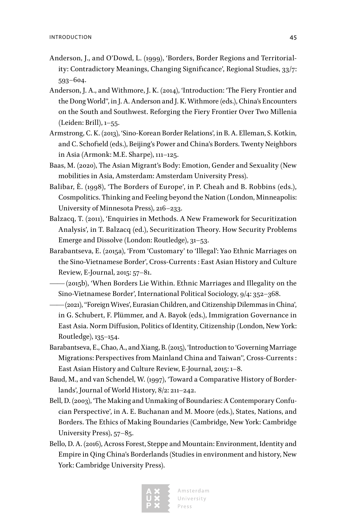- Anderson, J., and O'Dowd, L. (1999), 'Borders, Border Regions and Territoriality: Contradictory Meanings, Changing Significance', Regional Studies, 33/7: 593–604.
- Anderson, J. A., and Withmore, J. K. (2014), 'Introduction: 'The Fiery Frontier and the Dong World'', in J. A. Anderson and J. K. Withmore (eds.), China's Encounters on the South and Southwest. Reforging the Fiery Frontier Over Two Millenia (Leiden: Brill), 1–55.
- Armstrong, C. K. (2013), 'Sino-Korean Border Relations', in B. A. Elleman, S. Kotkin, and C. Schofield (eds.), Beijing's Power and China's Borders. Twenty Neighbors in Asia (Armonk: M.E. Sharpe), 111–125.
- Baas, M. (2020), The Asian Migrant's Body: Emotion, Gender and Sexuality (New mobilities in Asia, Amsterdam: Amsterdam University Press).
- Balibar, È. (1998), 'The Borders of Europe', in P. Cheah and B. Robbins (eds.), Cosmpolitics. Thinking and Feeling beyond the Nation (London, Minneapolis: University of Minnesota Press), 216–233.
- Balzacq, T. (2011), 'Enquiries in Methods. A New Framework for Securitization Analysis', in T. Balzacq (ed.), Securitization Theory. How Security Problems Emerge and Dissolve (London: Routledge), 31–53.
- Barabantseva, E. (2015a), 'From 'Customary' to 'Illegal': Yao Ethnic Marriages on the Sino-Vietnamese Border', Cross-Currents : East Asian History and Culture Review, E-Journal, 2015: 57–81.
- —— (2015b), 'When Borders Lie Within. Ethnic Marriages and Illegality on the Sino-Vietnamese Border', International Political Sociology, 9/4: 352–368.
- —— (2021), ''Foreign Wives', Eurasian Children, and Citizenship Dilemmas in China', in G. Schubert, F. Plümmer, and A. Bayok (eds.), Immigration Governance in East Asia. Norm Diffusion, Politics of Identity, Citizenship (London, New York: Routledge), 135–154.
- Barabantseva, E., Chao, A., and Xiang, B. (2015), 'Introduction to 'Governing Marriage Migrations: Perspectives from Mainland China and Taiwan'', Cross-Currents : East Asian History and Culture Review, E-Journal, 2015: 1–8.
- Baud, M., and van Schendel, W. (1997), 'Toward a Comparative History of Borderlands', Journal of World History, 8/2: 211–242.
- Bell, D. (2003), 'The Making and Unmaking of Boundaries: A Contemporary Confucian Perspective', in A. E. Buchanan and M. Moore (eds.), States, Nations, and Borders. The Ethics of Making Boundaries (Cambridge, New York: Cambridge University Press), 57–85.
- Bello, D. A. (2016), Across Forest, Steppe and Mountain: Environment, Identity and Empire in Qing China's Borderlands (Studies in environment and history, New York: Cambridge University Press).

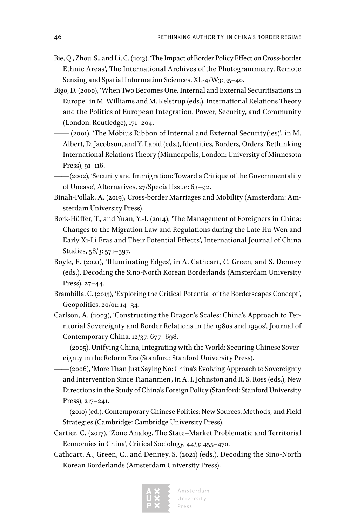- Bie, Q., Zhou, S., and Li, C. (2013), 'The Impact of Border Policy Effect on Cross-border Ethnic Areas', The International Archives of the Photogrammetry, Remote Sensing and Spatial Information Sciences, XL-4/W3: 35–40.
- Bigo, D. (2000), 'When Two Becomes One. Internal and External Securitisations in Europe', in M. Williams and M. Kelstrup (eds.), International Relations Theory and the Politics of European Integration. Power, Security, and Community (London: Routledge), 171–204.
- $-(2001)$ , 'The Möbius Ribbon of Internal and External Security(ies)', in M. Albert, D. Jacobson, and Y. Lapid (eds.), Identities, Borders, Orders. Rethinking International Relations Theory (Minneapolis, London: University of Minnesota Press), 91–116.
- —— (2002), 'Security and Immigration: Toward a Critique of the Governmentality of Unease', Alternatives, 27/Special Issue: 63–92.
- Binah-Pollak, A. (2019), Cross-border Marriages and Mobility (Amsterdam: Amsterdam University Press).
- Bork-Hüffer, T., and Yuan, Y.-I. (2014), 'The Management of Foreigners in China: Changes to the Migration Law and Regulations during the Late Hu-Wen and Early Xi-Li Eras and Their Potential Effects', International Journal of China Studies, 58/3: 571–597.
- Boyle, E. (2021), 'Illuminating Edges', in A. Cathcart, C. Green, and S. Denney (eds.), Decoding the Sino-North Korean Borderlands (Amsterdam University Press), 27–44.
- Brambilla, C. (2015), 'Exploring the Critical Potential of the Borderscapes Concept', Geopolitics, 20/01: 14–34.
- Carlson, A. (2003), 'Constructing the Dragon's Scales: China's Approach to Territorial Sovereignty and Border Relations in the 1980s and 1990s', Journal of Contemporary China, 12/37: 677–698.
- —— (2005), Unifying China, Integrating with the World: Securing Chinese Sovereignty in the Reform Era (Stanford: Stanford University Press).
- —— (2006), 'More Than Just Saying No: China's Evolving Approach to Sovereignty and Intervention Since Tiananmen', in A. I. Johnston and R. S. Ross (eds.), New Directions in the Study of China's Foreign Policy (Stanford: Stanford University Press), 217–241.
- —— (2010) (ed.), Contemporary Chinese Politics: New Sources, Methods, and Field Strategies (Cambridge: Cambridge University Press).
- Cartier, C. (2017), 'Zone Analog. The State–Market Problematic and Territorial Economies in China', Critical Sociology, 44/3: 455–470.
- Cathcart, A., Green, C., and Denney, S. (2021) (eds.), Decoding the Sino-North Korean Borderlands (Amsterdam University Press).

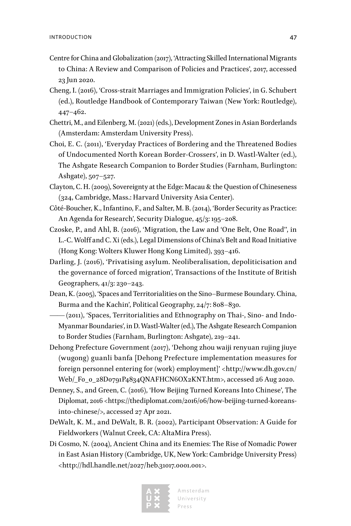- Centre for China and Globalization (2017), 'Attracting Skilled International Migrants to China: A Review and Comparison of Policies and Practices', 2017, accessed 23 Jun 2020.
- Cheng, I. (2016), 'Cross-strait Marriages and Immigration Policies', in G. Schubert (ed.), Routledge Handbook of Contemporary Taiwan (New York: Routledge), 447–462.
- Chettri, M., and Eilenberg, M. (2021) (eds.), Development Zones in Asian Borderlands (Amsterdam: Amsterdam University Press).
- Choi, E. C. (2011), 'Everyday Practices of Bordering and the Threatened Bodies of Undocumented North Korean Border-Crossers', in D. Wastl-Walter (ed.), The Ashgate Research Companion to Border Studies (Farnham, Burlington: Ashgate), 507–527.
- Clayton, C. H. (2009), Sovereignty at the Edge: Macau & the Question of Chineseness (324, Cambridge, Mass.: Harvard University Asia Center).
- Côté-Boucher, K., Infantino, F., and Salter, M. B. (2014), 'Border Security as Practice: An Agenda for Research', Security Dialogue, 45/3: 195–208.
- Czoske, P., and Ahl, B. (2016), 'Migration, the Law and 'One Belt, One Road'', in L.-C. Wolff and C. Xi (eds.), Legal Dimensions of China's Belt and Road Initiative (Hong Kong: Wolters Kluwer Hong Kong Limited), 393–416.
- Darling, J. (2016), 'Privatising asylum. Neoliberalisation, depoliticisation and the governance of forced migration', Transactions of the Institute of British Geographers, 41/3: 230–243.
- Dean, K. (2005), 'Spaces and Territorialities on the Sino–Burmese Boundary. China, Burma and the Kachin', Political Geography, 24/7: 808–830.
- —— (2011), 'Spaces, Territorialities and Ethnography on Thai-, Sino- and Indo-Myanmar Boundaries', in D. Wastl-Walter (ed.), The Ashgate Research Companion to Border Studies (Farnham, Burlington: Ashgate), 219–241.
- Dehong Prefecture Government (2017), 'Dehong zhou waiji renyuan rujing jiuye (wugong) guanli banfa [Dehong Prefecture implementation measures for foreign personnel entering for (work) employment]' <[http://www.dh.gov.cn/](http://www.dh.gov.cn/Web/_F0_0_28D0791P4834QNAFHCN6OX2KNT.htm) [Web/\\_F0\\_0\\_28D0791P4834QNAFHCN6OX2KNT.htm>](http://www.dh.gov.cn/Web/_F0_0_28D0791P4834QNAFHCN6OX2KNT.htm), accessed 26 Aug 2020.
- Denney, S., and Green, C. (2016), 'How Beijing Turned Koreans Into Chinese', The Diplomat, 2016 [<https://thediplomat.com/2016/06/how-beijing-turned-koreans](https://thediplomat.com/2016/06/how-beijing-turned-koreans-into-chinese/)[into-chinese/>](https://thediplomat.com/2016/06/how-beijing-turned-koreans-into-chinese/), accessed 27 Apr 2021.
- DeWalt, K. M., and DeWalt, B. R. (2002), Participant Observation: A Guide for Fieldworkers (Walnut Creek, CA: AltaMira Press).
- Di Cosmo, N. (2004), Ancient China and its Enemies: The Rise of Nomadic Power in East Asian History (Cambridge, UK, New York: Cambridge University Press) <[http://hdl.handle.net/2027/heb.31017.0001.001>](http://hdl.handle.net/2027/heb.31017.0001.001).

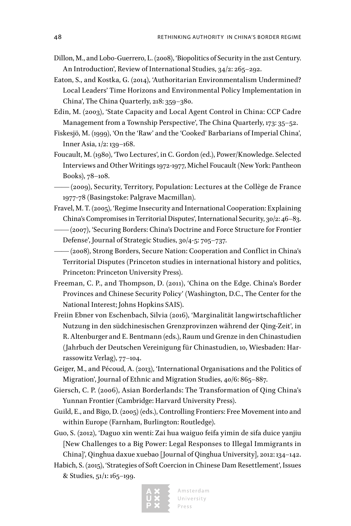- Dillon, M., and Lobo-Guerrero, L. (2008), 'Biopolitics of Security in the 21st Century. An Introduction', Review of International Studies, 34/2: 265–292.
- Eaton, S., and Kostka, G. (2014), 'Authoritarian Environmentalism Undermined? Local Leaders' Time Horizons and Environmental Policy Implementation in China', The China Quarterly, 218: 359–380.
- Edin, M. (2003), 'State Capacity and Local Agent Control in China: CCP Cadre Management from a Township Perspective', The China Quarterly, 173: 35–52.
- Fiskesjö, M. (1999), 'On the 'Raw' and the 'Cooked' Barbarians of Imperial China', Inner Asia, 1/2: 139–168.
- Foucault, M. (1980), 'Two Lectures', in C. Gordon (ed.), Power/Knowledge. Selected Interviews and Other Writings 1972-1977, Michel Foucault (New York: Pantheon Books), 78–108.
- —— (2009), Security, Territory, Population: Lectures at the Collège de France 1977-78 (Basingstoke: Palgrave Macmillan).
- Fravel, M. T. (2005), 'Regime Insecurity and International Cooperation: Explaining China's Compromises in Territorial Disputes', International Security, 30/2: 46–83.
- —— (2007), 'Securing Borders: China's Doctrine and Force Structure for Frontier Defense', Journal of Strategic Studies, 30/4-5: 705–737.
- —— (2008), Strong Borders, Secure Nation: Cooperation and Conflict in China's Territorial Disputes (Princeton studies in international history and politics, Princeton: Princeton University Press).
- Freeman, C. P., and Thompson, D. (2011), 'China on the Edge. China's Border Provinces and Chinese Security Policy' (Washington, D.C., The Center for the National Interest; Johns Hopkins SAIS).
- Freiin Ebner von Eschenbach, Silvia (2016), 'Marginalität langwirtschaftlicher Nutzung in den südchinesischen Grenzprovinzen während der Qing-Zeit', in R. Altenburger and E. Bentmann (eds.), Raum und Grenze in den Chinastudien (Jahrbuch der Deutschen Vereinigung für Chinastudien, 10, Wiesbaden: Harrassowitz Verlag), 77–104.
- Geiger, M., and Pécoud, A. (2013), 'International Organisations and the Politics of Migration', Journal of Ethnic and Migration Studies, 40/6: 865–887.
- Giersch, C. P. (2006), Asian Borderlands: The Transformation of Qing China's Yunnan Frontier (Cambridge: Harvard University Press).
- Guild, E., and Bigo, D. (2005) (eds.), Controlling Frontiers: Free Movement into and within Europe (Farnham, Burlington: Routledge).
- Guo, S. (2012), 'Daguo xin wenti: Zai hua waiguo feifa yimin de sifa duice yanjiu [New Challenges to a Big Power: Legal Responses to Illegal Immigrants in China]', Qinghua daxue xuebao [Journal of Qinghua University], 2012: 134–142.
- Habich, S. (2015), 'Strategies of Soft Coercion in Chinese Dam Resettlement', Issues & Studies, 51/1: 165–199.

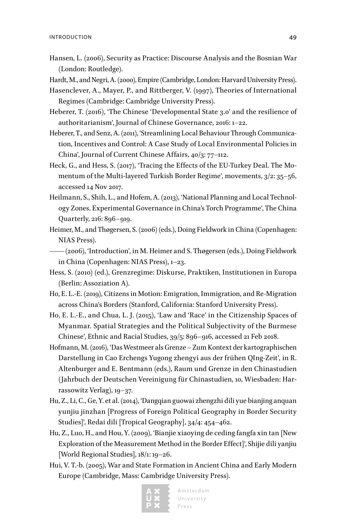- Hansen, L. (2006), Security as Practice: Discourse Analysis and the Bosnian War (London: Routledge).
- Hardt, M., and Negri, A. (2000), Empire (Cambridge, London: Harvard University Press).
- Hasenclever, A., Mayer, P., and Rittberger, V. (1997), Theories of International Regimes (Cambridge: Cambridge University Press).
- Heberer, T. (2016), 'The Chinese 'Developmental State 3.0' and the resilience of authoritarianism', Journal of Chinese Governance, 2016: 1–22.
- Heberer, T., and Senz, A. (2011), 'Streamlining Local Behaviour Through Communication, Incentives and Control: A Case Study of Local Environmental Policies in China', Journal of Current Chinese Affairs, 40/3: 77–112.
- Heck, G., and Hess, S. (2017), 'Tracing the Effects of the EU-Turkey Deal. The Momentum of the Multi-layered Turkish Border Regime', movements, 3/2: 35–56, accessed 14 Nov 2017.
- Heilmann, S., Shih, L., and Hofem, A. (2013), 'National Planning and Local Technology Zones. Experimental Governance in China's Torch Programme', The China Quarterly, 216: 896–919.
- Heimer, M., and Thøgersen, S. (2006) (eds.), Doing Fieldwork in China (Copenhagen: NIAS Press).
- —— (2006), 'Introduction', in M. Heimer and S. Thøgersen (eds.), Doing Fieldwork in China (Copenhagen: NIAS Press), 1–23.
- Hess, S. (2010) (ed.), Grenzregime: Diskurse, Praktiken, Institutionen in Europa (Berlin: Assoziation A).
- Ho, E. L.-E. (2019), Citizens in Motion: Emigration, Immigration, and Re-Migration across China's Borders (Stanford, California: Stanford University Press).
- Ho, E. L.-E., and Chua, L. J. (2015), 'Law and 'Race' in the Citizenship Spaces of Myanmar. Spatial Strategies and the Political Subjectivity of the Burmese Chinese', Ethnic and Racial Studies, 39/5: 896–916, accessed 21 Feb 2018.
- Hofmann, M. (2016), 'Das Westmeer als Grenze Zum Kontext der kartographischen Darstellung in Cao Erchengs Yugong zhengyi aus der frühen QIng-Zeit', in R. Altenburger and E. Bentmann (eds.), Raum und Grenze in den Chinastudien (Jahrbuch der Deutschen Vereinigung für Chinastudien, 10, Wiesbaden: Harrassowitz Verlag), 19–37.
- Hu, Z., Li, C., Ge, Y. et al. (2014), 'Dangqian guowai zhengzhi dili yue bianjing anquan yunjiu jinzhan [Progress of Foreign Political Geography in Border Security Studies]', Redai dili [Tropical Geography], 34/4: 454–462.
- Hu, Z., Luo, H., and Hou, Y. (2009), 'Bianjie xiaoying de ceding fangfa xin tan [New Exploration of the Measurement Method in the Border Effect]', Shijie dili yanjiu [World Regional Studies], 18/1: 19–26.
- Hui, V. T.-b. (2005), War and State Formation in Ancient China and Early Modern Europe (Cambridge, Mass: Cambridge University Press).

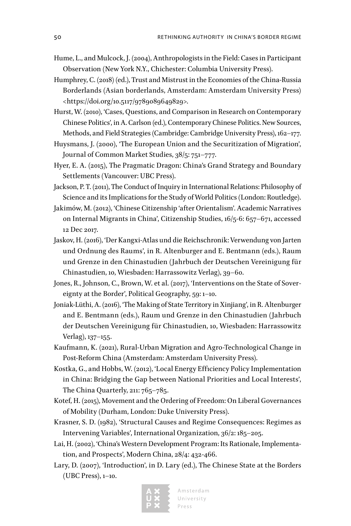- Hume, L., and Mulcock, J. (2004), Anthropologists in the Field: Cases in Participant Observation (New York N.Y., Chichester: Columbia University Press).
- Humphrey, C. (2018) (ed.), Trust and Mistrust in the Economies of the China-Russia Borderlands (Asian borderlands, Amsterdam: Amsterdam University Press) [<https://doi.org/10.5117/9789089649829>](https://doi.org/10.5117/9789089649829).
- Hurst, W. (2010), 'Cases, Questions, and Comparison in Research on Contemporary Chinese Politics', in A. Carlson (ed.), Contemporary Chinese Politics. New Sources, Methods, and Field Strategies (Cambridge: Cambridge University Press), 162–177.
- Huysmans, J. (2000), 'The European Union and the Securitization of Migration', Journal of Common Market Studies, 38/5: 751–777.
- Hyer, E. A. (2015), The Pragmatic Dragon: China's Grand Strategy and Boundary Settlements (Vancouver: UBC Press).
- Jackson, P. T. (2011), The Conduct of Inquiry in International Relations: Philosophy of Science and its Implications for the Study of World Politics (London: Routledge).
- Jakimów, M. (2012), 'Chinese Citizenship 'after Orientalism'. Academic Narratives on Internal Migrants in China', Citizenship Studies, 16/5-6: 657–671, accessed 12 Dec 2017.
- Jaskov, H. (2016), 'Der Kangxi-Atlas und die Reichschronik: Verwendung von Jarten und Ordnung des Raums', in R. Altenburger and E. Bentmann (eds.), Raum und Grenze in den Chinastudien (Jahrbuch der Deutschen Vereinigung für Chinastudien, 10, Wiesbaden: Harrassowitz Verlag), 39–60.
- Jones, R., Johnson, C., Brown, W. et al. (2017), 'Interventions on the State of Sovereignty at the Border', Political Geography, 59: 1–10.
- Joniak-Lüthi, A. (2016), 'The Making of State Territory in Xinjiang', in R. Altenburger and E. Bentmann (eds.), Raum und Grenze in den Chinastudien (Jahrbuch der Deutschen Vereinigung für Chinastudien, 10, Wiesbaden: Harrassowitz Verlag), 137–155.
- Kaufmann, K. (2021), Rural-Urban Migration and Agro-Technological Change in Post-Reform China (Amsterdam: Amsterdam University Press).
- Kostka, G., and Hobbs, W. (2012), 'Local Energy Efficiency Policy Implementation in China: Bridging the Gap between National Priorities and Local Interests', The China Quarterly, 211: 765–785.
- Kotef, H. (2015), Movement and the Ordering of Freedom: On Liberal Governances of Mobility (Durham, London: Duke University Press).
- Krasner, S. D. (1982), 'Structural Causes and Regime Consequences: Regimes as Intervening Variables', International Organization, 36/2: 185–205.
- Lai, H. (2002), 'China's Western Development Program: Its Rationale, Implementation, and Prospects', Modern China, 28/4: 432-466.
- Lary, D. (2007), 'Introduction', in D. Lary (ed.), The Chinese State at the Borders (UBC Press), 1–10.

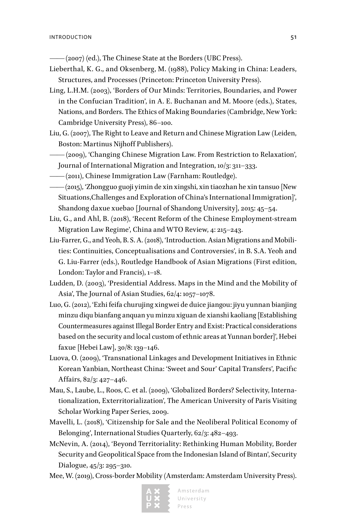—— (2007) (ed.), The Chinese State at the Borders (UBC Press).

- Lieberthal, K. G., and Oksenberg, M. (1988), Policy Making in China: Leaders, Structures, and Processes (Princeton: Princeton University Press).
- Ling, L.H.M. (2003), 'Borders of Our Minds: Territories, Boundaries, and Power in the Confucian Tradition', in A. E. Buchanan and M. Moore (eds.), States, Nations, and Borders. The Ethics of Making Boundaries (Cambridge, New York: Cambridge University Press), 86–100.
- Liu, G. (2007), The Right to Leave and Return and Chinese Migration Law (Leiden, Boston: Martinus Nijhoff Publishers).
- —— (2009), 'Changing Chinese Migration Law. From Restriction to Relaxation', Journal of International Migration and Integration, 10/3: 311–333.
- —— (2011), Chinese Immigration Law (Farnham: Routledge).
- —— (2015), 'Zhongguo guoji yimin de xin xingshi, xin tiaozhan he xin tansuo [New Situations,Challenges and Exploration of China's International Immigration]', Shandong daxue xuebao [Journal of Shandong University], 2015: 45–54.
- Liu, G., and Ahl, B. (2018), 'Recent Reform of the Chinese Employment-stream Migration Law Regime', China and WTO Review, 4: 215–243.
- Liu-Farrer, G., and Yeoh, B. S. A. (2018), 'Introduction. Asian Migrations and Mobilities: Continuities, Conceptualisations and Controversies', in B. S.A. Yeoh and G. Liu-Farrer (eds.), Routledge Handbook of Asian Migrations (First edition, London: Taylor and Francis), 1–18.
- Ludden, D. (2003), 'Presidential Address. Maps in the Mind and the Mobility of Asia', The Journal of Asian Studies, 62/4: 1057–1078.
- Luo, G. (2012), 'Ezhi feifa churujing xingwei de duice jiangou: jiyu yunnan bianjing minzu diqu bianfang anquan yu minzu xiguan de xianshi kaoliang [Establishing Countermeasures against Illegal Border Entry and Exist: Practical considerations based on the security and local custom of ethnic areas at Yunnan border]', Hebei faxue [Hebei Law], 30/8: 139–146.
- Luova, O. (2009), 'Transnational Linkages and Development Initiatives in Ethnic Korean Yanbian, Northeast China: 'Sweet and Sour' Capital Transfers', Pacific Affairs, 82/3: 427–446.
- Mau, S., Laube, L., Roos, C. et al. (2009), 'Globalized Borders? Selectivity, Internationalization, Exterritorialization', The American University of Paris Visiting Scholar Working Paper Series, 2009.
- Mavelli, L. (2018), 'Citizenship for Sale and the Neoliberal Political Economy of Belonging', International Studies Quarterly, 62/3: 482–493.
- McNevin, A. (2014), 'Beyond Territoriality: Rethinking Human Mobility, Border Security and Geopolitical Space from the Indonesian Island of Bintan', Security Dialogue, 45/3: 295–310.
- Mee, W. (2019), Cross-border Mobility (Amsterdam: Amsterdam University Press).

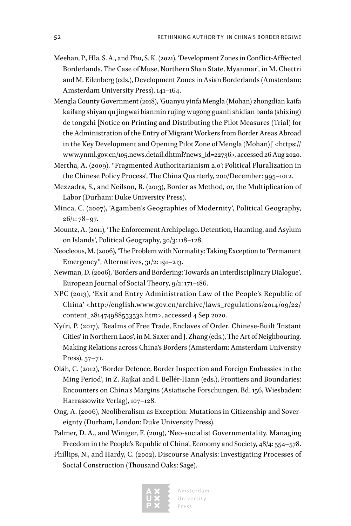- Meehan, P., Hla, S. A., and Phu, S. K. (2021), 'Development Zones in Conflict-Afffected Borderlands. The Case of Muse, Northern Shan State, Myanmar', in M. Chettri and M. Eilenberg (eds.), Development Zones in Asian Borderlands (Amsterdam: Amsterdam University Press), 141–164.
- Mengla County Government (2018), 'Guanyu yinfa Mengla (Mohan) zhongdian kaifa kaifang shiyan qu jingwai bianmin rujing wugong guanli shidian banfa (shixing) de tongzhi [Notice on Printing and Distributing the Pilot Measures (Trial) for the Administration of the Entry of Migrant Workers from Border Areas Abroad in the Key Development and Opening Pilot Zone of Mengla (Mohan)]' <[https://](https://www.ynml.gov.cn/105.news.detail.dhtml?news_id=22736) [www.ynml.gov.cn/105.news.detail.dhtml?news\\_id=22736](https://www.ynml.gov.cn/105.news.detail.dhtml?news_id=22736)>, accessed 26 Aug 2020.
- Mertha, A. (2009), "Fragmented Authoritarianism 2.0': Political Pluralization in the Chinese Policy Process', The China Quarterly, 200/December: 995–1012.
- Mezzadra, S., and Neilson, B. (2013), Border as Method, or, the Multiplication of Labor (Durham: Duke University Press).
- Minca, C. (2007), 'Agamben's Geographies of Modernity', Political Geography, 26/1: 78–97.
- Mountz, A. (2011), 'The Enforcement Archipelago. Detention, Haunting, and Asylum on Islands', Political Geography, 30/3: 118–128.
- Neocleous, M. (2006), 'The Problem with Normality: Taking Exception to 'Permanent Emergency'', Alternatives, 31/2: 191–213.
- Newman, D. (2006), 'Borders and Bordering: Towards an Interdisciplinary Dialogue', European Journal of Social Theory, 9/2: 171–186.
- NPC (2013), 'Exit and Entry Administration Law of the People's Republic of China' <[http://english.www.gov.cn/archive/laws\\_regulations/2014/09/22/](http://english.www.gov.cn/archive/laws_regulations/2014/09/22/content_281474988553532.htm) [content\\_281474988553532.htm](http://english.www.gov.cn/archive/laws_regulations/2014/09/22/content_281474988553532.htm)>, accessed 4 Sep 2020.
- Nyíri, P. (2017), 'Realms of Free Trade, Enclaves of Order. Chinese-Built 'Instant Cities' in Northern Laos', in M. Saxer and J. Zhang (eds.), The Art of Neighbouring. Making Relations across China's Borders (Amsterdam: Amsterdam University Press), 57–71.
- Oláh, C. (2012), 'Border Defence, Border Inspection and Foreign Embassies in the Ming Period', in Z. Rajkai and I. Bellér-Hann (eds.), Frontiers and Boundaries: Encounters on China's Margins (Asiatische Forschungen, Bd. 156, Wiesbaden: Harrassowitz Verlag), 107–128.
- Ong, A. (2006), Neoliberalism as Exception: Mutations in Citizenship and Sovereignty (Durham, London: Duke University Press).
- Palmer, D. A., and Winiger, F. (2019), 'Neo-socialist Governmentality. Managing Freedom in the People's Republic of China', Economy and Society, 48/4: 554–578.
- Phillips, N., and Hardy, C. (2002), Discourse Analysis: Investigating Processes of Social Construction (Thousand Oaks: Sage).

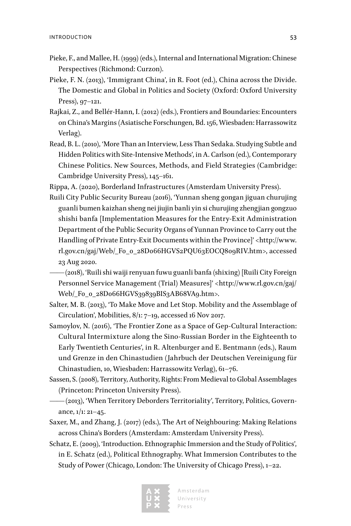- Pieke, F., and Mallee, H. (1999) (eds.), Internal and International Migration: Chinese Perspectives (Richmond: Curzon).
- Pieke, F. N. (2013), 'Immigrant China', in R. Foot (ed.), China across the Divide. The Domestic and Global in Politics and Society (Oxford: Oxford University Press), 97–121.
- Rajkai, Z., and Bellér-Hann, I. (2012) (eds.), Frontiers and Boundaries: Encounters on China's Margins (Asiatische Forschungen, Bd. 156, Wiesbaden: Harrassowitz Verlag).
- Read, B. L. (2010), 'More Than an Interview, Less Than Sedaka. Studying Subtle and Hidden Politics with Site-Intensive Methods', in A. Carlson (ed.), Contemporary Chinese Politics. New Sources, Methods, and Field Strategies (Cambridge: Cambridge University Press), 145–161.

Rippa, A. (2020), Borderland Infrastructures (Amsterdam University Press).

- Ruili City Public Security Bureau (2016), 'Yunnan sheng gongan jiguan churujing guanli bumen kaizhan sheng nei jiujin banli yin si churujing zhengjian gongzuo shishi banfa [Implementation Measures for the Entry-Exit Administration Department of the Public Security Organs of Yunnan Province to Carry out the Handling of Private Entry-Exit Documents within the Province]' [<http://www.](http://www.rl.gov.cn/gaj/Web/_F0_0_28D066HGVS2PQU63EOCQ809RIV.htm) [rl.gov.cn/gaj/Web/\\_F0\\_0\\_28D066HGVS2PQU63EOCQ809RIV.htm>](http://www.rl.gov.cn/gaj/Web/_F0_0_28D066HGVS2PQU63EOCQ809RIV.htm), accessed 23 Aug 2020.
	- —— (2018), 'Ruili shi waiji renyuan fuwu guanli banfa (shixing) [Ruili City Foreign Personnel Service Management (Trial) Measures]' [<http://www.rl.gov.cn/gaj/](http://www.rl.gov.cn/gaj/Web/_F0_0_28D066HGVS39839BIS3AB68VA9.htm) [Web/\\_F0\\_0\\_28D066HGVS39839BIS3AB68VA9.htm](http://www.rl.gov.cn/gaj/Web/_F0_0_28D066HGVS39839BIS3AB68VA9.htm)>.
- Salter, M. B. (2013), 'To Make Move and Let Stop. Mobility and the Assemblage of Circulation', Mobilities, 8/1: 7–19, accessed 16 Nov 2017.
- Samoylov, N. (2016), 'The Frontier Zone as a Space of Gep-Cultural Interaction: Cultural Intermixture along the Sino-Russian Border in the Eighteenth to Early Twentieth Centuries', in R. Altenburger and E. Bentmann (eds.), Raum und Grenze in den Chinastudien (Jahrbuch der Deutschen Vereinigung für Chinastudien, 10, Wiesbaden: Harrassowitz Verlag), 61–76.
- Sassen, S. (2008), Territory, Authority, Rights: From Medieval to Global Assemblages (Princeton: Princeton University Press).
- —— (2013), 'When Territory Deborders Territoriality', Territory, Politics, Governance,  $1/1$ : 21–45.
- Saxer, M., and Zhang, J. (2017) (eds.), The Art of Neighbouring: Making Relations across China's Borders (Amsterdam: Amsterdam University Press).
- Schatz, E. (2009), 'Introduction. Ethnographic Immersion and the Study of Politics', in E. Schatz (ed.), Political Ethnography. What Immersion Contributes to the Study of Power (Chicago, London: The University of Chicago Press), 1–22.

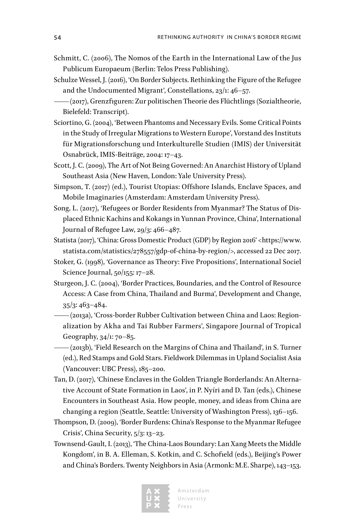- Schmitt, C. (2006), The Nomos of the Earth in the International Law of the Jus Publicum Europaeum (Berlin: Telos Press Publishing).
- Schulze Wessel, J. (2016), 'On Border Subjects. Rethinking the Figure of the Refugee and the Undocumented Migrant', Constellations, 23/1: 46–57.
- —— (2017), Grenzfiguren: Zur politischen Theorie des Flüchtlings (Sozialtheorie, Bielefeld: Transcript).
- Sciortino, G. (2004), 'Between Phantoms and Necessary Evils. Some Critical Points in the Study of Irregular Migrations to Western Europe', Vorstand des Instituts für Migrationsforschung und Interkulturelle Studien (IMIS) der Universität Osnabrück, IMIS-Beiträge, 2004: 17–43.
- Scott, J. C. (2009), The Art of Not Being Governed: An Anarchist History of Upland Southeast Asia (New Haven, London: Yale University Press).
- Simpson, T. (2017) (ed.), Tourist Utopias: Offshore Islands, Enclave Spaces, and Mobile Imaginaries (Amsterdam: Amsterdam University Press).
- Song, L. (2017), 'Refugees or Border Residents from Myanmar? The Status of Displaced Ethnic Kachins and Kokangs in Yunnan Province, China', International Journal of Refugee Law, 29/3: 466–487.
- Statista (2017), 'China: Gross Domestic Product (GDP) by Region 2016' [<https://www.](https://www.statista.com/statistics/278557/gdp-of-china-by-region/) [statista.com/statistics/278557/gdp-of-china-by-region/](https://www.statista.com/statistics/278557/gdp-of-china-by-region/)>, accessed 22 Dec 2017.
- Stoker, G. (1998), 'Governance as Theory: Five Propositions', International Sociel Science Journal, 50/155: 17–28.
- Sturgeon, J. C. (2004), 'Border Practices, Boundaries, and the Control of Resource Access: A Case from China, Thailand and Burma', Development and Change, 35/3: 463–484.
- —— (2013a), 'Cross-border Rubber Cultivation between China and Laos: Regionalization by Akha and Tai Rubber Farmers', Singapore Journal of Tropical Geography, 34/1: 70–85.
- —— (2013b), 'Field Research on the Margins of China and Thailand', in S. Turner (ed.), Red Stamps and Gold Stars. Fieldwork Dilemmas in Upland Socialist Asia (Vancouver: UBC Press), 185–200.
- Tan, D. (2017), 'Chinese Enclaves in the Golden Triangle Borderlands: An Alternative Account of State Formation in Laos', in P. Nyíri and D. Tan (eds.), Chinese Encounters in Southeast Asia. How people, money, and ideas from China are changing a region (Seattle, Seattle: University of Washington Press), 136–156.
- Thompson, D. (2009), 'Border Burdens: China's Response to the Myanmar Refugee Crisis', China Security, 5/3: 13–23.
- Townsend-Gault, I. (2013), 'The China-Laos Boundary: Lan Xang Meets the Middle Kongdom', in B. A. Elleman, S. Kotkin, and C. Schofield (eds.), Beijing's Power and China's Borders. Twenty Neighbors in Asia (Armonk: M.E. Sharpe), 143–153.

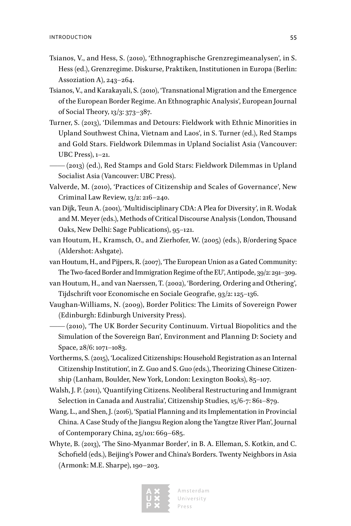- Tsianos, V., and Hess, S. (2010), 'Ethnographische Grenzregimeanalysen', in S. Hess (ed.), Grenzregime. Diskurse, Praktiken, Institutionen in Europa (Berlin: Assoziation A), 243–264.
- Tsianos, V., and Karakayali, S. (2010), 'Transnational Migration and the Emergence of the European Border Regime. An Ethnographic Analysis', European Journal of Social Theory, 13/3: 373–387.
- Turner, S. (2013), 'Dilemmas and Detours: Fieldwork with Ethnic Minorities in Upland Southwest China, Vietnam and Laos', in S. Turner (ed.), Red Stamps and Gold Stars. Fieldwork Dilemmas in Upland Socialist Asia (Vancouver: UBC Press), 1–21.
- —— (2013) (ed.), Red Stamps and Gold Stars: Fieldwork Dilemmas in Upland Socialist Asia (Vancouver: UBC Press).
- Valverde, M. (2010), 'Practices of Citizenship and Scales of Governance', New Criminal Law Review, 13/2: 216–240.
- van Dijk, Teun A. (2001), 'Multidisciplinary CDA: A Plea for Diversity', in R. Wodak and M. Meyer (eds.), Methods of Critical Discourse Analysis (London, Thousand Oaks, New Delhi: Sage Publications), 95–121.
- van Houtum, H., Kramsch, O., and Zierhofer, W. (2005) (eds.), B/ordering Space (Aldershot: Ashgate).
- van Houtum, H., and Pijpers, R. (2007), 'The European Union as a Gated Community: The Two-faced Border and Immigration Regime of the EU', Antipode, 39/2: 291–309.
- van Houtum, H., and van Naerssen, T. (2002), 'Bordering, Ordering and Othering', Tijdschrift voor Economische en Sociale Geografie, 93/2: 125–136.
- Vaughan-Williams, N. (2009), Border Politics: The Limits of Sovereign Power (Edinburgh: Edinburgh University Press).
- —— (2010), 'The UK Border Security Continuum. Virtual Biopolitics and the Simulation of the Sovereign Ban', Environment and Planning D: Society and Space, 28/6: 1071–1083.
- Vortherms, S. (2015), 'Localized Citizenships: Household Registration as an Internal Citizenship Institution', in Z. Guo and S. Guo (eds.), Theorizing Chinese Citizenship (Lanham, Boulder, New York, London: Lexington Books), 85–107.
- Walsh, J. P. (2011), 'Quantifying Citizens. Neoliberal Restructuring and Immigrant Selection in Canada and Australia', Citizenship Studies, 15/6-7: 861–879.
- Wang, L., and Shen, J. (2016), 'Spatial Planning and its Implementation in Provincial China. A Case Study of the Jiangsu Region along the Yangtze River Plan', Journal of Contemporary China, 25/101: 669–685.
- Whyte, B. (2013), 'The Sino-Myanmar Border', in B. A. Elleman, S. Kotkin, and C. Schofield (eds.), Beijing's Power and China's Borders. Twenty Neighbors in Asia (Armonk: M.E. Sharpe), 190–203.